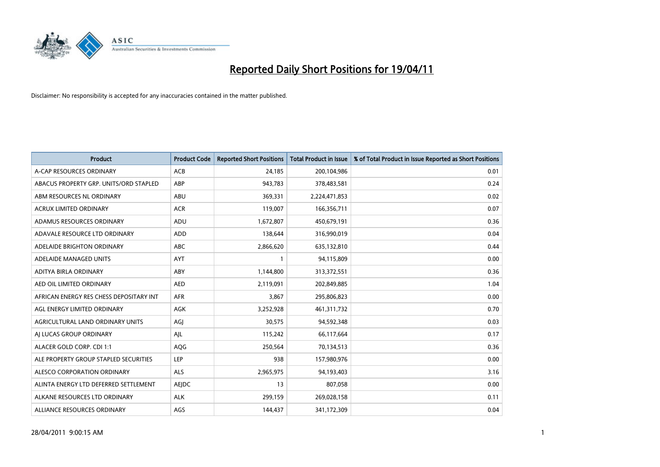

| <b>Product</b>                          | <b>Product Code</b> | <b>Reported Short Positions</b> | Total Product in Issue | % of Total Product in Issue Reported as Short Positions |
|-----------------------------------------|---------------------|---------------------------------|------------------------|---------------------------------------------------------|
| A-CAP RESOURCES ORDINARY                | <b>ACB</b>          | 24,185                          | 200,104,986            | 0.01                                                    |
| ABACUS PROPERTY GRP. UNITS/ORD STAPLED  | ABP                 | 943,783                         | 378,483,581            | 0.24                                                    |
| ABM RESOURCES NL ORDINARY               | ABU                 | 369,331                         | 2,224,471,853          | 0.02                                                    |
| ACRUX LIMITED ORDINARY                  | <b>ACR</b>          | 119,007                         | 166,356,711            | 0.07                                                    |
| ADAMUS RESOURCES ORDINARY               | ADU                 | 1,672,807                       | 450,679,191            | 0.36                                                    |
| ADAVALE RESOURCE LTD ORDINARY           | <b>ADD</b>          | 138,644                         | 316,990,019            | 0.04                                                    |
| ADELAIDE BRIGHTON ORDINARY              | <b>ABC</b>          | 2,866,620                       | 635,132,810            | 0.44                                                    |
| ADELAIDE MANAGED UNITS                  | <b>AYT</b>          |                                 | 94,115,809             | 0.00                                                    |
| ADITYA BIRLA ORDINARY                   | ABY                 | 1,144,800                       | 313,372,551            | 0.36                                                    |
| AED OIL LIMITED ORDINARY                | <b>AED</b>          | 2,119,091                       | 202,849,885            | 1.04                                                    |
| AFRICAN ENERGY RES CHESS DEPOSITARY INT | <b>AFR</b>          | 3,867                           | 295,806,823            | 0.00                                                    |
| AGL ENERGY LIMITED ORDINARY             | <b>AGK</b>          | 3,252,928                       | 461,311,732            | 0.70                                                    |
| AGRICULTURAL LAND ORDINARY UNITS        | AGI                 | 30,575                          | 94,592,348             | 0.03                                                    |
| AI LUCAS GROUP ORDINARY                 | AJL                 | 115,242                         | 66,117,664             | 0.17                                                    |
| ALACER GOLD CORP. CDI 1:1               | AQG                 | 250,564                         | 70,134,513             | 0.36                                                    |
| ALE PROPERTY GROUP STAPLED SECURITIES   | <b>LEP</b>          | 938                             | 157,980,976            | 0.00                                                    |
| ALESCO CORPORATION ORDINARY             | ALS                 | 2,965,975                       | 94,193,403             | 3.16                                                    |
| ALINTA ENERGY LTD DEFERRED SETTLEMENT   | AEJDC               | 13                              | 807,058                | 0.00                                                    |
| ALKANE RESOURCES LTD ORDINARY           | <b>ALK</b>          | 299,159                         | 269,028,158            | 0.11                                                    |
| ALLIANCE RESOURCES ORDINARY             | AGS                 | 144,437                         | 341,172,309            | 0.04                                                    |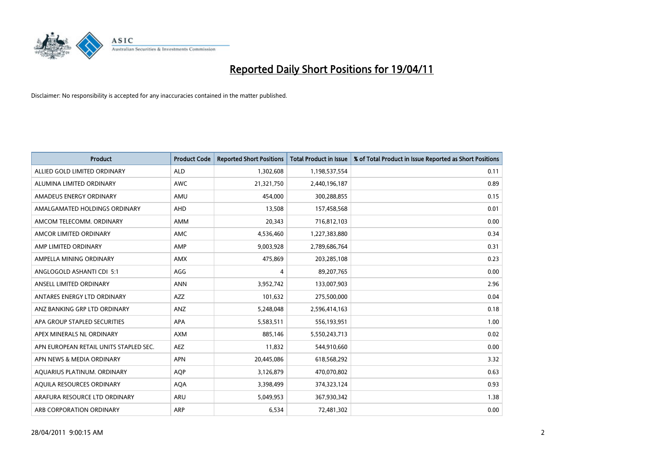

| <b>Product</b>                         | <b>Product Code</b> | <b>Reported Short Positions</b> | <b>Total Product in Issue</b> | % of Total Product in Issue Reported as Short Positions |
|----------------------------------------|---------------------|---------------------------------|-------------------------------|---------------------------------------------------------|
| ALLIED GOLD LIMITED ORDINARY           | <b>ALD</b>          | 1,302,608                       | 1,198,537,554                 | 0.11                                                    |
| ALUMINA LIMITED ORDINARY               | <b>AWC</b>          | 21,321,750                      | 2,440,196,187                 | 0.89                                                    |
| AMADEUS ENERGY ORDINARY                | AMU                 | 454,000                         | 300,288,855                   | 0.15                                                    |
| AMALGAMATED HOLDINGS ORDINARY          | AHD                 | 13,508                          | 157,458,568                   | 0.01                                                    |
| AMCOM TELECOMM. ORDINARY               | <b>AMM</b>          | 20,343                          | 716,812,103                   | 0.00                                                    |
| AMCOR LIMITED ORDINARY                 | <b>AMC</b>          | 4,536,460                       | 1,227,383,880                 | 0.34                                                    |
| AMP LIMITED ORDINARY                   | AMP                 | 9,003,928                       | 2,789,686,764                 | 0.31                                                    |
| AMPELLA MINING ORDINARY                | <b>AMX</b>          | 475,869                         | 203,285,108                   | 0.23                                                    |
| ANGLOGOLD ASHANTI CDI 5:1              | AGG                 | 4                               | 89,207,765                    | 0.00                                                    |
| ANSELL LIMITED ORDINARY                | <b>ANN</b>          | 3,952,742                       | 133,007,903                   | 2.96                                                    |
| ANTARES ENERGY LTD ORDINARY            | AZZ                 | 101,632                         | 275,500,000                   | 0.04                                                    |
| ANZ BANKING GRP LTD ORDINARY           | ANZ                 | 5,248,048                       | 2,596,414,163                 | 0.18                                                    |
| APA GROUP STAPLED SECURITIES           | <b>APA</b>          | 5,583,511                       | 556,193,951                   | 1.00                                                    |
| APEX MINERALS NL ORDINARY              | <b>AXM</b>          | 885.146                         | 5,550,243,713                 | 0.02                                                    |
| APN EUROPEAN RETAIL UNITS STAPLED SEC. | <b>AEZ</b>          | 11,832                          | 544,910,660                   | 0.00                                                    |
| APN NEWS & MEDIA ORDINARY              | <b>APN</b>          | 20,445,086                      | 618,568,292                   | 3.32                                                    |
| AQUARIUS PLATINUM. ORDINARY            | <b>AOP</b>          | 3,126,879                       | 470,070,802                   | 0.63                                                    |
| AQUILA RESOURCES ORDINARY              | <b>AQA</b>          | 3,398,499                       | 374,323,124                   | 0.93                                                    |
| ARAFURA RESOURCE LTD ORDINARY          | ARU                 | 5,049,953                       | 367,930,342                   | 1.38                                                    |
| ARB CORPORATION ORDINARY               | ARP                 | 6,534                           | 72,481,302                    | 0.00                                                    |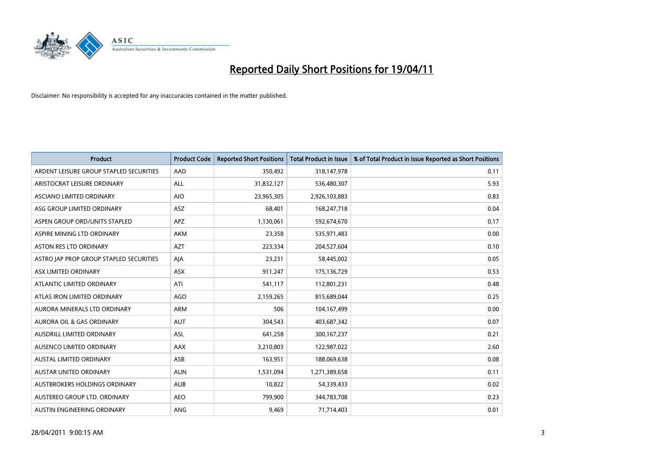

| <b>Product</b>                          | <b>Product Code</b> | <b>Reported Short Positions</b> | Total Product in Issue | % of Total Product in Issue Reported as Short Positions |
|-----------------------------------------|---------------------|---------------------------------|------------------------|---------------------------------------------------------|
| ARDENT LEISURE GROUP STAPLED SECURITIES | AAD                 | 350,492                         | 318,147,978            | 0.11                                                    |
| ARISTOCRAT LEISURE ORDINARY             | ALL                 | 31,832,127                      | 536,480,307            | 5.93                                                    |
| ASCIANO LIMITED ORDINARY                | <b>AIO</b>          | 23,965,305                      | 2,926,103,883          | 0.83                                                    |
| ASG GROUP LIMITED ORDINARY              | <b>ASZ</b>          | 68,401                          | 168,247,718            | 0.04                                                    |
| ASPEN GROUP ORD/UNITS STAPLED           | <b>APZ</b>          | 1,130,061                       | 592,674,670            | 0.17                                                    |
| ASPIRE MINING LTD ORDINARY              | <b>AKM</b>          | 23,358                          | 535,971,483            | 0.00                                                    |
| ASTON RES LTD ORDINARY                  | <b>AZT</b>          | 223,334                         | 204,527,604            | 0.10                                                    |
| ASTRO JAP PROP GROUP STAPLED SECURITIES | AJA                 | 23,231                          | 58,445,002             | 0.05                                                    |
| ASX LIMITED ORDINARY                    | <b>ASX</b>          | 911,247                         | 175,136,729            | 0.53                                                    |
| ATLANTIC LIMITED ORDINARY               | ATI                 | 541,117                         | 112,801,231            | 0.48                                                    |
| ATLAS IRON LIMITED ORDINARY             | <b>AGO</b>          | 2,159,265                       | 815,689,044            | 0.25                                                    |
| AURORA MINERALS LTD ORDINARY            | <b>ARM</b>          | 506                             | 104,167,499            | 0.00                                                    |
| AURORA OIL & GAS ORDINARY               | <b>AUT</b>          | 304,543                         | 403,687,342            | 0.07                                                    |
| AUSDRILL LIMITED ORDINARY               | <b>ASL</b>          | 641,258                         | 300,167,237            | 0.21                                                    |
| AUSENCO LIMITED ORDINARY                | AAX                 | 3,210,803                       | 122,987,022            | 2.60                                                    |
| AUSTAL LIMITED ORDINARY                 | ASB                 | 163,951                         | 188,069,638            | 0.08                                                    |
| AUSTAR UNITED ORDINARY                  | <b>AUN</b>          | 1,531,094                       | 1,271,389,658          | 0.11                                                    |
| AUSTBROKERS HOLDINGS ORDINARY           | <b>AUB</b>          | 10,822                          | 54,339,433             | 0.02                                                    |
| AUSTEREO GROUP LTD. ORDINARY            | <b>AEO</b>          | 799,900                         | 344,783,708            | 0.23                                                    |
| AUSTIN ENGINEERING ORDINARY             | <b>ANG</b>          | 9,469                           | 71,714,403             | 0.01                                                    |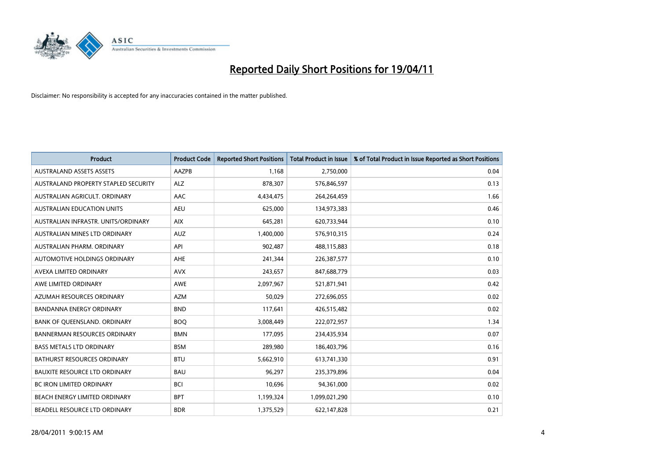

| <b>Product</b>                       | <b>Product Code</b> | <b>Reported Short Positions</b> | <b>Total Product in Issue</b> | % of Total Product in Issue Reported as Short Positions |
|--------------------------------------|---------------------|---------------------------------|-------------------------------|---------------------------------------------------------|
| <b>AUSTRALAND ASSETS ASSETS</b>      | AAZPB               | 1.168                           | 2,750,000                     | 0.04                                                    |
| AUSTRALAND PROPERTY STAPLED SECURITY | <b>ALZ</b>          | 878,307                         | 576,846,597                   | 0.13                                                    |
| AUSTRALIAN AGRICULT, ORDINARY        | AAC                 | 4,434,475                       | 264,264,459                   | 1.66                                                    |
| AUSTRALIAN EDUCATION UNITS           | <b>AEU</b>          | 625,000                         | 134,973,383                   | 0.46                                                    |
| AUSTRALIAN INFRASTR, UNITS/ORDINARY  | <b>AIX</b>          | 645,281                         | 620,733,944                   | 0.10                                                    |
| AUSTRALIAN MINES LTD ORDINARY        | <b>AUZ</b>          | 1,400,000                       | 576,910,315                   | 0.24                                                    |
| AUSTRALIAN PHARM, ORDINARY           | API                 | 902.487                         | 488,115,883                   | 0.18                                                    |
| AUTOMOTIVE HOLDINGS ORDINARY         | AHE                 | 241,344                         | 226,387,577                   | 0.10                                                    |
| AVEXA LIMITED ORDINARY               | <b>AVX</b>          | 243,657                         | 847,688,779                   | 0.03                                                    |
| AWE LIMITED ORDINARY                 | AWE                 | 2,097,967                       | 521,871,941                   | 0.42                                                    |
| AZUMAH RESOURCES ORDINARY            | <b>AZM</b>          | 50.029                          | 272,696,055                   | 0.02                                                    |
| <b>BANDANNA ENERGY ORDINARY</b>      | <b>BND</b>          | 117,641                         | 426,515,482                   | 0.02                                                    |
| BANK OF QUEENSLAND. ORDINARY         | <b>BOO</b>          | 3,008,449                       | 222,072,957                   | 1.34                                                    |
| <b>BANNERMAN RESOURCES ORDINARY</b>  | <b>BMN</b>          | 177,095                         | 234,435,934                   | 0.07                                                    |
| <b>BASS METALS LTD ORDINARY</b>      | <b>BSM</b>          | 289,980                         | 186,403,796                   | 0.16                                                    |
| BATHURST RESOURCES ORDINARY          | <b>BTU</b>          | 5,662,910                       | 613,741,330                   | 0.91                                                    |
| <b>BAUXITE RESOURCE LTD ORDINARY</b> | <b>BAU</b>          | 96,297                          | 235,379,896                   | 0.04                                                    |
| <b>BC IRON LIMITED ORDINARY</b>      | <b>BCI</b>          | 10,696                          | 94,361,000                    | 0.02                                                    |
| BEACH ENERGY LIMITED ORDINARY        | <b>BPT</b>          | 1,199,324                       | 1,099,021,290                 | 0.10                                                    |
| BEADELL RESOURCE LTD ORDINARY        | <b>BDR</b>          | 1,375,529                       | 622,147,828                   | 0.21                                                    |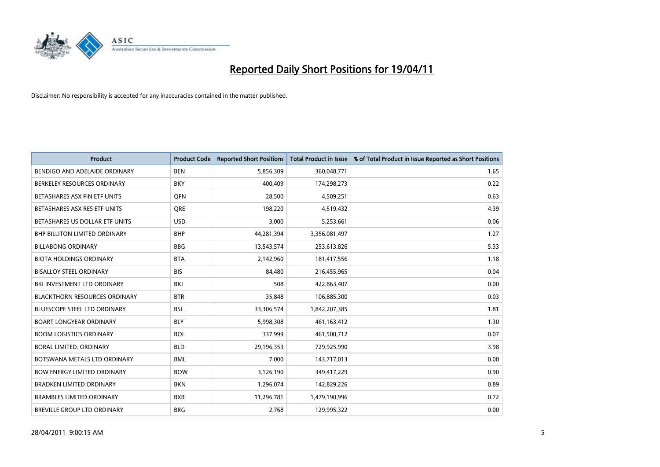

| <b>Product</b>                       | <b>Product Code</b> | <b>Reported Short Positions</b> | <b>Total Product in Issue</b> | % of Total Product in Issue Reported as Short Positions |
|--------------------------------------|---------------------|---------------------------------|-------------------------------|---------------------------------------------------------|
| BENDIGO AND ADELAIDE ORDINARY        | <b>BEN</b>          | 5,856,309                       | 360,048,771                   | 1.65                                                    |
| BERKELEY RESOURCES ORDINARY          | <b>BKY</b>          | 400,409                         | 174,298,273                   | 0.22                                                    |
| BETASHARES ASX FIN ETF UNITS         | <b>OFN</b>          | 28,500                          | 4,509,251                     | 0.63                                                    |
| BETASHARES ASX RES ETF UNITS         | <b>ORE</b>          | 198,220                         | 4,519,432                     | 4.39                                                    |
| BETASHARES US DOLLAR ETF UNITS       | <b>USD</b>          | 3,000                           | 5,253,661                     | 0.06                                                    |
| <b>BHP BILLITON LIMITED ORDINARY</b> | <b>BHP</b>          | 44,281,394                      | 3,356,081,497                 | 1.27                                                    |
| <b>BILLABONG ORDINARY</b>            | <b>BBG</b>          | 13,543,574                      | 253,613,826                   | 5.33                                                    |
| <b>BIOTA HOLDINGS ORDINARY</b>       | <b>BTA</b>          | 2,142,960                       | 181,417,556                   | 1.18                                                    |
| <b>BISALLOY STEEL ORDINARY</b>       | <b>BIS</b>          | 84,480                          | 216,455,965                   | 0.04                                                    |
| BKI INVESTMENT LTD ORDINARY          | <b>BKI</b>          | 508                             | 422,863,407                   | 0.00                                                    |
| <b>BLACKTHORN RESOURCES ORDINARY</b> | <b>BTR</b>          | 35,848                          | 106,885,300                   | 0.03                                                    |
| BLUESCOPE STEEL LTD ORDINARY         | <b>BSL</b>          | 33,306,574                      | 1,842,207,385                 | 1.81                                                    |
| <b>BOART LONGYEAR ORDINARY</b>       | <b>BLY</b>          | 5,998,308                       | 461,163,412                   | 1.30                                                    |
| <b>BOOM LOGISTICS ORDINARY</b>       | <b>BOL</b>          | 337,999                         | 461,500,712                   | 0.07                                                    |
| <b>BORAL LIMITED, ORDINARY</b>       | <b>BLD</b>          | 29,196,353                      | 729,925,990                   | 3.98                                                    |
| BOTSWANA METALS LTD ORDINARY         | <b>BML</b>          | 7,000                           | 143,717,013                   | 0.00                                                    |
| <b>BOW ENERGY LIMITED ORDINARY</b>   | <b>BOW</b>          | 3,126,190                       | 349,417,229                   | 0.90                                                    |
| BRADKEN LIMITED ORDINARY             | <b>BKN</b>          | 1,296,074                       | 142,829,226                   | 0.89                                                    |
| <b>BRAMBLES LIMITED ORDINARY</b>     | <b>BXB</b>          | 11,296,781                      | 1,479,190,996                 | 0.72                                                    |
| BREVILLE GROUP LTD ORDINARY          | <b>BRG</b>          | 2,768                           | 129,995,322                   | 0.00                                                    |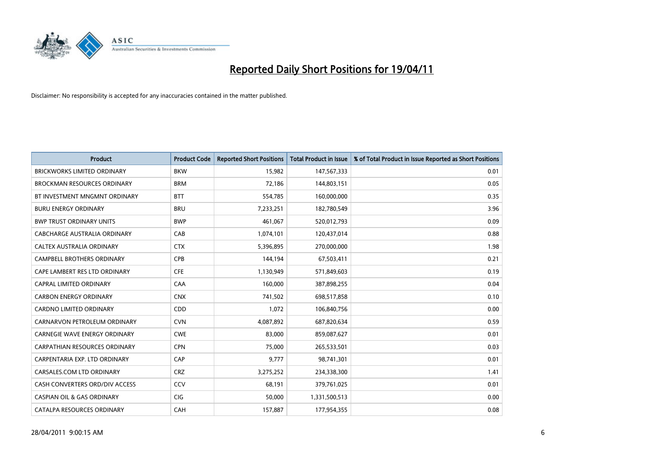

| <b>Product</b>                        | <b>Product Code</b> | <b>Reported Short Positions</b> | <b>Total Product in Issue</b> | % of Total Product in Issue Reported as Short Positions |
|---------------------------------------|---------------------|---------------------------------|-------------------------------|---------------------------------------------------------|
| <b>BRICKWORKS LIMITED ORDINARY</b>    | <b>BKW</b>          | 15,982                          | 147,567,333                   | 0.01                                                    |
| <b>BROCKMAN RESOURCES ORDINARY</b>    | <b>BRM</b>          | 72,186                          | 144,803,151                   | 0.05                                                    |
| BT INVESTMENT MNGMNT ORDINARY         | <b>BTT</b>          | 554,785                         | 160,000,000                   | 0.35                                                    |
| <b>BURU ENERGY ORDINARY</b>           | <b>BRU</b>          | 7,233,251                       | 182,780,549                   | 3.96                                                    |
| <b>BWP TRUST ORDINARY UNITS</b>       | <b>BWP</b>          | 461,067                         | 520,012,793                   | 0.09                                                    |
| CABCHARGE AUSTRALIA ORDINARY          | CAB                 | 1,074,101                       | 120,437,014                   | 0.88                                                    |
| CALTEX AUSTRALIA ORDINARY             | <b>CTX</b>          | 5,396,895                       | 270,000,000                   | 1.98                                                    |
| CAMPBELL BROTHERS ORDINARY            | <b>CPB</b>          | 144,194                         | 67,503,411                    | 0.21                                                    |
| CAPE LAMBERT RES LTD ORDINARY         | <b>CFE</b>          | 1,130,949                       | 571,849,603                   | 0.19                                                    |
| <b>CAPRAL LIMITED ORDINARY</b>        | CAA                 | 160,000                         | 387,898,255                   | 0.04                                                    |
| <b>CARBON ENERGY ORDINARY</b>         | <b>CNX</b>          | 741,502                         | 698,517,858                   | 0.10                                                    |
| <b>CARDNO LIMITED ORDINARY</b>        | CDD                 | 1,072                           | 106,840,756                   | 0.00                                                    |
| CARNARVON PETROLEUM ORDINARY          | <b>CVN</b>          | 4,087,892                       | 687,820,634                   | 0.59                                                    |
| CARNEGIE WAVE ENERGY ORDINARY         | <b>CWE</b>          | 83,000                          | 859,087,627                   | 0.01                                                    |
| <b>CARPATHIAN RESOURCES ORDINARY</b>  | <b>CPN</b>          | 75,000                          | 265,533,501                   | 0.03                                                    |
| CARPENTARIA EXP. LTD ORDINARY         | CAP                 | 9,777                           | 98,741,301                    | 0.01                                                    |
| CARSALES.COM LTD ORDINARY             | <b>CRZ</b>          | 3,275,252                       | 234,338,300                   | 1.41                                                    |
| CASH CONVERTERS ORD/DIV ACCESS        | CCV                 | 68,191                          | 379,761,025                   | 0.01                                                    |
| <b>CASPIAN OIL &amp; GAS ORDINARY</b> | <b>CIG</b>          | 50,000                          | 1,331,500,513                 | 0.00                                                    |
| CATALPA RESOURCES ORDINARY            | CAH                 | 157,887                         | 177,954,355                   | 0.08                                                    |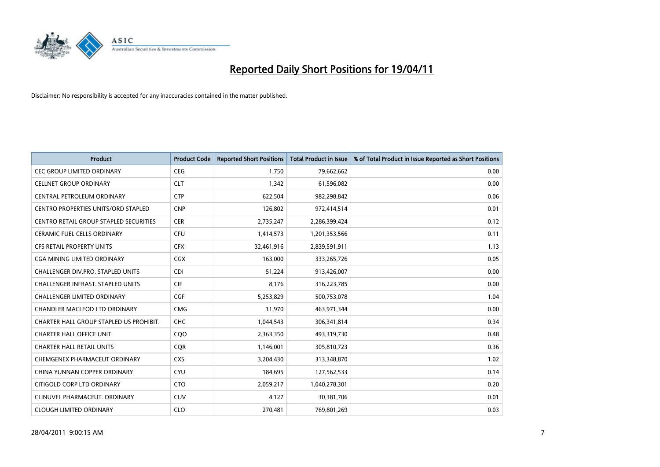

| <b>Product</b>                                | <b>Product Code</b> | <b>Reported Short Positions</b> | Total Product in Issue | % of Total Product in Issue Reported as Short Positions |
|-----------------------------------------------|---------------------|---------------------------------|------------------------|---------------------------------------------------------|
| <b>CEC GROUP LIMITED ORDINARY</b>             | <b>CEG</b>          | 1,750                           | 79,662,662             | 0.00                                                    |
| <b>CELLNET GROUP ORDINARY</b>                 | <b>CLT</b>          | 1,342                           | 61,596,082             | 0.00                                                    |
| CENTRAL PETROLEUM ORDINARY                    | <b>CTP</b>          | 622.504                         | 982,298,842            | 0.06                                                    |
| CENTRO PROPERTIES UNITS/ORD STAPLED           | <b>CNP</b>          | 126,802                         | 972,414,514            | 0.01                                                    |
| <b>CENTRO RETAIL GROUP STAPLED SECURITIES</b> | <b>CER</b>          | 2,735,247                       | 2,286,399,424          | 0.12                                                    |
| <b>CERAMIC FUEL CELLS ORDINARY</b>            | <b>CFU</b>          | 1,414,573                       | 1,201,353,566          | 0.11                                                    |
| <b>CFS RETAIL PROPERTY UNITS</b>              | <b>CFX</b>          | 32,461,916                      | 2,839,591,911          | 1.13                                                    |
| CGA MINING LIMITED ORDINARY                   | <b>CGX</b>          | 163,000                         | 333,265,726            | 0.05                                                    |
| <b>CHALLENGER DIV.PRO. STAPLED UNITS</b>      | <b>CDI</b>          | 51,224                          | 913,426,007            | 0.00                                                    |
| CHALLENGER INFRAST. STAPLED UNITS             | <b>CIF</b>          | 8,176                           | 316,223,785            | 0.00                                                    |
| CHALLENGER LIMITED ORDINARY                   | <b>CGF</b>          | 5,253,829                       | 500,753,078            | 1.04                                                    |
| CHANDLER MACLEOD LTD ORDINARY                 | <b>CMG</b>          | 11,970                          | 463,971,344            | 0.00                                                    |
| CHARTER HALL GROUP STAPLED US PROHIBIT.       | <b>CHC</b>          | 1,044,543                       | 306,341,814            | 0.34                                                    |
| <b>CHARTER HALL OFFICE UNIT</b>               | COO                 | 2,363,350                       | 493,319,730            | 0.48                                                    |
| <b>CHARTER HALL RETAIL UNITS</b>              | CQR                 | 1,146,001                       | 305,810,723            | 0.36                                                    |
| CHEMGENEX PHARMACEUT ORDINARY                 | <b>CXS</b>          | 3,204,430                       | 313,348,870            | 1.02                                                    |
| CHINA YUNNAN COPPER ORDINARY                  | <b>CYU</b>          | 184,695                         | 127,562,533            | 0.14                                                    |
| CITIGOLD CORP LTD ORDINARY                    | <b>CTO</b>          | 2,059,217                       | 1,040,278,301          | 0.20                                                    |
| CLINUVEL PHARMACEUT, ORDINARY                 | <b>CUV</b>          | 4,127                           | 30,381,706             | 0.01                                                    |
| <b>CLOUGH LIMITED ORDINARY</b>                | <b>CLO</b>          | 270,481                         | 769,801,269            | 0.03                                                    |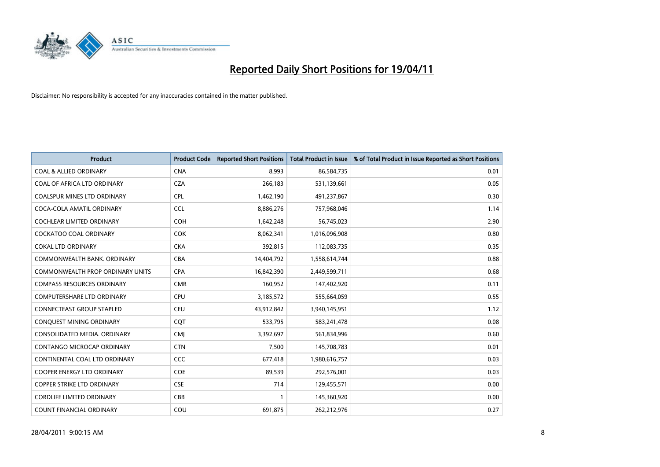

| <b>Product</b>                     | <b>Product Code</b> | <b>Reported Short Positions</b> | <b>Total Product in Issue</b> | % of Total Product in Issue Reported as Short Positions |
|------------------------------------|---------------------|---------------------------------|-------------------------------|---------------------------------------------------------|
| <b>COAL &amp; ALLIED ORDINARY</b>  | <b>CNA</b>          | 8.993                           | 86,584,735                    | 0.01                                                    |
| COAL OF AFRICA LTD ORDINARY        | <b>CZA</b>          | 266,183                         | 531,139,661                   | 0.05                                                    |
| <b>COALSPUR MINES LTD ORDINARY</b> | <b>CPL</b>          | 1,462,190                       | 491,237,867                   | 0.30                                                    |
| COCA-COLA AMATIL ORDINARY          | <b>CCL</b>          | 8,886,276                       | 757,968,046                   | 1.14                                                    |
| <b>COCHLEAR LIMITED ORDINARY</b>   | COH                 | 1,642,248                       | 56,745,023                    | 2.90                                                    |
| <b>COCKATOO COAL ORDINARY</b>      | <b>COK</b>          | 8,062,341                       | 1,016,096,908                 | 0.80                                                    |
| <b>COKAL LTD ORDINARY</b>          | <b>CKA</b>          | 392,815                         | 112,083,735                   | 0.35                                                    |
| COMMONWEALTH BANK, ORDINARY        | <b>CBA</b>          | 14,404,792                      | 1,558,614,744                 | 0.88                                                    |
| COMMONWEALTH PROP ORDINARY UNITS   | <b>CPA</b>          | 16,842,390                      | 2,449,599,711                 | 0.68                                                    |
| <b>COMPASS RESOURCES ORDINARY</b>  | <b>CMR</b>          | 160,952                         | 147,402,920                   | 0.11                                                    |
| <b>COMPUTERSHARE LTD ORDINARY</b>  | <b>CPU</b>          | 3,185,572                       | 555,664,059                   | 0.55                                                    |
| <b>CONNECTEAST GROUP STAPLED</b>   | <b>CEU</b>          | 43,912,842                      | 3,940,145,951                 | 1.12                                                    |
| CONQUEST MINING ORDINARY           | CQT                 | 533,795                         | 583,241,478                   | 0.08                                                    |
| CONSOLIDATED MEDIA, ORDINARY       | <b>CMJ</b>          | 3,392,697                       | 561,834,996                   | 0.60                                                    |
| CONTANGO MICROCAP ORDINARY         | <b>CTN</b>          | 7,500                           | 145,708,783                   | 0.01                                                    |
| CONTINENTAL COAL LTD ORDINARY      | CCC                 | 677,418                         | 1,980,616,757                 | 0.03                                                    |
| COOPER ENERGY LTD ORDINARY         | <b>COE</b>          | 89,539                          | 292,576,001                   | 0.03                                                    |
| COPPER STRIKE LTD ORDINARY         | <b>CSE</b>          | 714                             | 129,455,571                   | 0.00                                                    |
| <b>CORDLIFE LIMITED ORDINARY</b>   | CBB                 |                                 | 145,360,920                   | 0.00                                                    |
| COUNT FINANCIAL ORDINARY           | COU                 | 691,875                         | 262,212,976                   | 0.27                                                    |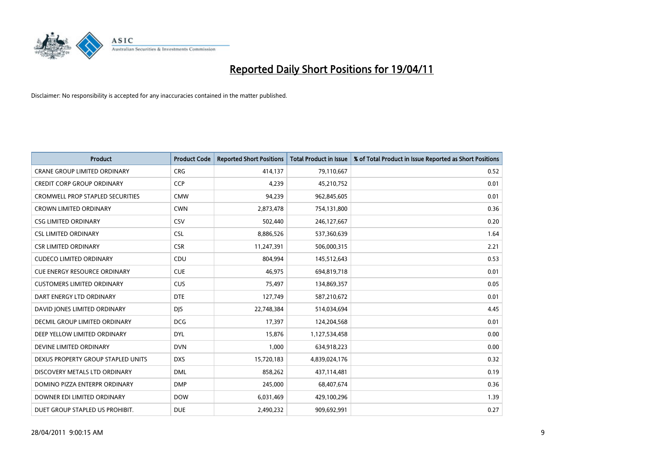

| <b>Product</b>                          | <b>Product Code</b> | <b>Reported Short Positions</b> | <b>Total Product in Issue</b> | % of Total Product in Issue Reported as Short Positions |
|-----------------------------------------|---------------------|---------------------------------|-------------------------------|---------------------------------------------------------|
| <b>CRANE GROUP LIMITED ORDINARY</b>     | <b>CRG</b>          | 414,137                         | 79,110,667                    | 0.52                                                    |
| <b>CREDIT CORP GROUP ORDINARY</b>       | <b>CCP</b>          | 4,239                           | 45,210,752                    | 0.01                                                    |
| <b>CROMWELL PROP STAPLED SECURITIES</b> | <b>CMW</b>          | 94,239                          | 962,845,605                   | 0.01                                                    |
| <b>CROWN LIMITED ORDINARY</b>           | <b>CWN</b>          | 2,873,478                       | 754,131,800                   | 0.36                                                    |
| <b>CSG LIMITED ORDINARY</b>             | CSV                 | 502,440                         | 246,127,667                   | 0.20                                                    |
| <b>CSL LIMITED ORDINARY</b>             | <b>CSL</b>          | 8,886,526                       | 537,360,639                   | 1.64                                                    |
| <b>CSR LIMITED ORDINARY</b>             | <b>CSR</b>          | 11,247,391                      | 506,000,315                   | 2.21                                                    |
| <b>CUDECO LIMITED ORDINARY</b>          | CDU                 | 804,994                         | 145,512,643                   | 0.53                                                    |
| <b>CUE ENERGY RESOURCE ORDINARY</b>     | <b>CUE</b>          | 46,975                          | 694,819,718                   | 0.01                                                    |
| <b>CUSTOMERS LIMITED ORDINARY</b>       | CUS                 | 75,497                          | 134,869,357                   | 0.05                                                    |
| DART ENERGY LTD ORDINARY                | <b>DTE</b>          | 127,749                         | 587,210,672                   | 0.01                                                    |
| DAVID JONES LIMITED ORDINARY            | <b>DJS</b>          | 22,748,384                      | 514,034,694                   | 4.45                                                    |
| DECMIL GROUP LIMITED ORDINARY           | <b>DCG</b>          | 17,397                          | 124,204,568                   | 0.01                                                    |
| DEEP YELLOW LIMITED ORDINARY            | <b>DYL</b>          | 15,876                          | 1,127,534,458                 | 0.00                                                    |
| DEVINE LIMITED ORDINARY                 | <b>DVN</b>          | 1,000                           | 634,918,223                   | 0.00                                                    |
| DEXUS PROPERTY GROUP STAPLED UNITS      | <b>DXS</b>          | 15,720,183                      | 4,839,024,176                 | 0.32                                                    |
| DISCOVERY METALS LTD ORDINARY           | <b>DML</b>          | 858,262                         | 437,114,481                   | 0.19                                                    |
| DOMINO PIZZA ENTERPR ORDINARY           | <b>DMP</b>          | 245,000                         | 68,407,674                    | 0.36                                                    |
| DOWNER EDI LIMITED ORDINARY             | <b>DOW</b>          | 6,031,469                       | 429,100,296                   | 1.39                                                    |
| DUET GROUP STAPLED US PROHIBIT.         | <b>DUE</b>          | 2,490,232                       | 909,692,991                   | 0.27                                                    |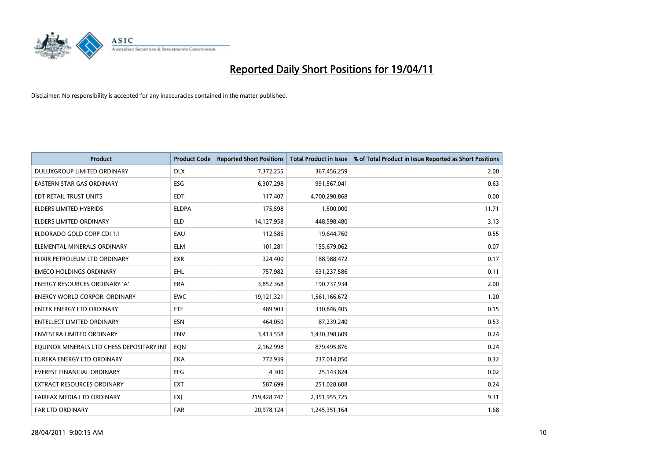

| <b>Product</b>                            | <b>Product Code</b> | <b>Reported Short Positions</b> | Total Product in Issue | % of Total Product in Issue Reported as Short Positions |
|-------------------------------------------|---------------------|---------------------------------|------------------------|---------------------------------------------------------|
| DULUXGROUP LIMITED ORDINARY               | <b>DLX</b>          | 7,372,255                       | 367,456,259            | 2.00                                                    |
| <b>EASTERN STAR GAS ORDINARY</b>          | <b>ESG</b>          | 6,307,298                       | 991,567,041            | 0.63                                                    |
| EDT RETAIL TRUST UNITS                    | <b>EDT</b>          | 117,407                         | 4,700,290,868          | 0.00                                                    |
| ELDERS LIMITED HYBRIDS                    | <b>ELDPA</b>        | 175,598                         | 1,500,000              | 11.71                                                   |
| <b>ELDERS LIMITED ORDINARY</b>            | <b>ELD</b>          | 14,127,958                      | 448,598,480            | 3.13                                                    |
| ELDORADO GOLD CORP CDI 1:1                | EAU                 | 112,586                         | 19,644,760             | 0.55                                                    |
| ELEMENTAL MINERALS ORDINARY               | <b>ELM</b>          | 101,281                         | 155,679,062            | 0.07                                                    |
| ELIXIR PETROLEUM LTD ORDINARY             | <b>EXR</b>          | 324,400                         | 188,988,472            | 0.17                                                    |
| <b>EMECO HOLDINGS ORDINARY</b>            | <b>EHL</b>          | 757,982                         | 631,237,586            | 0.11                                                    |
| <b>ENERGY RESOURCES ORDINARY 'A'</b>      | <b>ERA</b>          | 3,852,368                       | 190,737,934            | 2.00                                                    |
| <b>ENERGY WORLD CORPOR, ORDINARY</b>      | <b>EWC</b>          | 19,121,321                      | 1,561,166,672          | 1.20                                                    |
| <b>ENTEK ENERGY LTD ORDINARY</b>          | ETE                 | 489,903                         | 330,846,405            | 0.15                                                    |
| <b>ENTELLECT LIMITED ORDINARY</b>         | <b>ESN</b>          | 464.050                         | 87,239,240             | 0.53                                                    |
| <b>ENVESTRA LIMITED ORDINARY</b>          | <b>ENV</b>          | 3,413,558                       | 1,430,398,609          | 0.24                                                    |
| EQUINOX MINERALS LTD CHESS DEPOSITARY INT | EQN                 | 2,162,998                       | 879,495,876            | 0.24                                                    |
| EUREKA ENERGY LTD ORDINARY                | <b>EKA</b>          | 772,939                         | 237,014,050            | 0.32                                                    |
| <b>EVEREST FINANCIAL ORDINARY</b>         | <b>EFG</b>          | 4,300                           | 25,143,824             | 0.02                                                    |
| EXTRACT RESOURCES ORDINARY                | <b>EXT</b>          | 587,699                         | 251,028,608            | 0.24                                                    |
| FAIRFAX MEDIA LTD ORDINARY                | <b>FXI</b>          | 219,428,747                     | 2,351,955,725          | 9.31                                                    |
| <b>FAR LTD ORDINARY</b>                   | <b>FAR</b>          | 20.978.124                      | 1,245,351,164          | 1.68                                                    |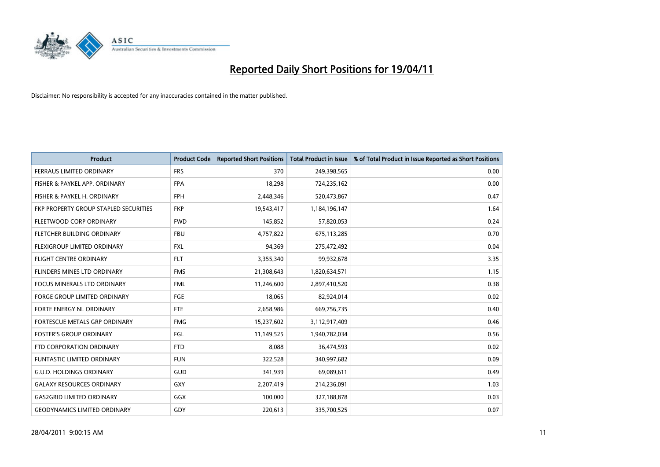

| <b>Product</b>                        | <b>Product Code</b> | <b>Reported Short Positions</b> | <b>Total Product in Issue</b> | % of Total Product in Issue Reported as Short Positions |
|---------------------------------------|---------------------|---------------------------------|-------------------------------|---------------------------------------------------------|
| <b>FERRAUS LIMITED ORDINARY</b>       | <b>FRS</b>          | 370                             | 249,398,565                   | 0.00                                                    |
| FISHER & PAYKEL APP. ORDINARY         | <b>FPA</b>          | 18,298                          | 724,235,162                   | 0.00                                                    |
| FISHER & PAYKEL H. ORDINARY           | <b>FPH</b>          | 2,448,346                       | 520,473,867                   | 0.47                                                    |
| FKP PROPERTY GROUP STAPLED SECURITIES | <b>FKP</b>          | 19,543,417                      | 1,184,196,147                 | 1.64                                                    |
| FLEETWOOD CORP ORDINARY               | <b>FWD</b>          | 145,852                         | 57,820,053                    | 0.24                                                    |
| FLETCHER BUILDING ORDINARY            | <b>FBU</b>          | 4,757,822                       | 675,113,285                   | 0.70                                                    |
| FLEXIGROUP LIMITED ORDINARY           | <b>FXL</b>          | 94,369                          | 275,472,492                   | 0.04                                                    |
| <b>FLIGHT CENTRE ORDINARY</b>         | <b>FLT</b>          | 3,355,340                       | 99,932,678                    | 3.35                                                    |
| FLINDERS MINES LTD ORDINARY           | <b>FMS</b>          | 21,308,643                      | 1,820,634,571                 | 1.15                                                    |
| <b>FOCUS MINERALS LTD ORDINARY</b>    | <b>FML</b>          | 11,246,600                      | 2,897,410,520                 | 0.38                                                    |
| <b>FORGE GROUP LIMITED ORDINARY</b>   | <b>FGE</b>          | 18,065                          | 82,924,014                    | 0.02                                                    |
| FORTE ENERGY NL ORDINARY              | <b>FTE</b>          | 2,658,986                       | 669,756,735                   | 0.40                                                    |
| FORTESCUE METALS GRP ORDINARY         | <b>FMG</b>          | 15,237,602                      | 3,112,917,409                 | 0.46                                                    |
| <b>FOSTER'S GROUP ORDINARY</b>        | FGL                 | 11,149,525                      | 1,940,782,034                 | 0.56                                                    |
| FTD CORPORATION ORDINARY              | <b>FTD</b>          | 8,088                           | 36,474,593                    | 0.02                                                    |
| <b>FUNTASTIC LIMITED ORDINARY</b>     | <b>FUN</b>          | 322,528                         | 340,997,682                   | 0.09                                                    |
| <b>G.U.D. HOLDINGS ORDINARY</b>       | <b>GUD</b>          | 341,939                         | 69,089,611                    | 0.49                                                    |
| <b>GALAXY RESOURCES ORDINARY</b>      | <b>GXY</b>          | 2,207,419                       | 214,236,091                   | 1.03                                                    |
| <b>GAS2GRID LIMITED ORDINARY</b>      | GGX                 | 100,000                         | 327,188,878                   | 0.03                                                    |
| <b>GEODYNAMICS LIMITED ORDINARY</b>   | GDY                 | 220,613                         | 335,700,525                   | 0.07                                                    |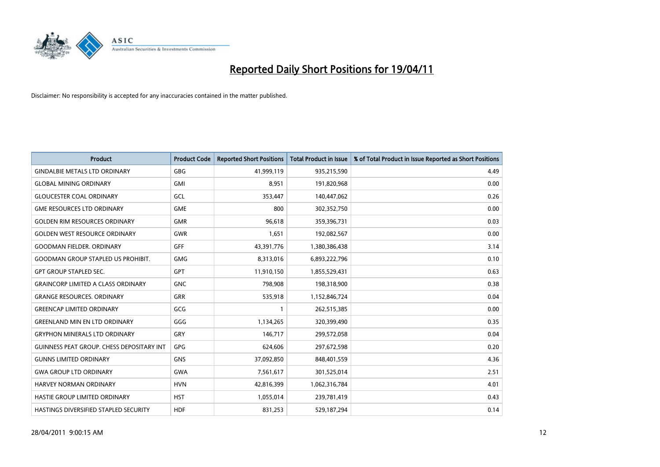

| <b>Product</b>                            | <b>Product Code</b> | <b>Reported Short Positions</b> | Total Product in Issue | % of Total Product in Issue Reported as Short Positions |
|-------------------------------------------|---------------------|---------------------------------|------------------------|---------------------------------------------------------|
| <b>GINDALBIE METALS LTD ORDINARY</b>      | <b>GBG</b>          | 41,999,119                      | 935,215,590            | 4.49                                                    |
| <b>GLOBAL MINING ORDINARY</b>             | <b>GMI</b>          | 8,951                           | 191,820,968            | 0.00                                                    |
| <b>GLOUCESTER COAL ORDINARY</b>           | GCL                 | 353,447                         | 140,447,062            | 0.26                                                    |
| <b>GME RESOURCES LTD ORDINARY</b>         | <b>GME</b>          | 800                             | 302,352,750            | 0.00                                                    |
| <b>GOLDEN RIM RESOURCES ORDINARY</b>      | <b>GMR</b>          | 96,618                          | 359,396,731            | 0.03                                                    |
| <b>GOLDEN WEST RESOURCE ORDINARY</b>      | <b>GWR</b>          | 1,651                           | 192,082,567            | 0.00                                                    |
| <b>GOODMAN FIELDER, ORDINARY</b>          | <b>GFF</b>          | 43,391,776                      | 1,380,386,438          | 3.14                                                    |
| <b>GOODMAN GROUP STAPLED US PROHIBIT.</b> | <b>GMG</b>          | 8,313,016                       | 6,893,222,796          | 0.10                                                    |
| <b>GPT GROUP STAPLED SEC.</b>             | <b>GPT</b>          | 11,910,150                      | 1,855,529,431          | 0.63                                                    |
| <b>GRAINCORP LIMITED A CLASS ORDINARY</b> | <b>GNC</b>          | 798,908                         | 198,318,900            | 0.38                                                    |
| <b>GRANGE RESOURCES. ORDINARY</b>         | <b>GRR</b>          | 535,918                         | 1,152,846,724          | 0.04                                                    |
| <b>GREENCAP LIMITED ORDINARY</b>          | GCG                 |                                 | 262,515,385            | 0.00                                                    |
| <b>GREENLAND MIN EN LTD ORDINARY</b>      | GGG                 | 1,134,265                       | 320,399,490            | 0.35                                                    |
| <b>GRYPHON MINERALS LTD ORDINARY</b>      | GRY                 | 146,717                         | 299,572,058            | 0.04                                                    |
| GUINNESS PEAT GROUP. CHESS DEPOSITARY INT | GPG                 | 624,606                         | 297,672,598            | 0.20                                                    |
| <b>GUNNS LIMITED ORDINARY</b>             | <b>GNS</b>          | 37,092,850                      | 848,401,559            | 4.36                                                    |
| <b>GWA GROUP LTD ORDINARY</b>             | <b>GWA</b>          | 7,561,617                       | 301,525,014            | 2.51                                                    |
| HARVEY NORMAN ORDINARY                    | <b>HVN</b>          | 42,816,399                      | 1,062,316,784          | 4.01                                                    |
| HASTIE GROUP LIMITED ORDINARY             | <b>HST</b>          | 1,055,014                       | 239,781,419            | 0.43                                                    |
| HASTINGS DIVERSIFIED STAPLED SECURITY     | <b>HDF</b>          | 831,253                         | 529,187,294            | 0.14                                                    |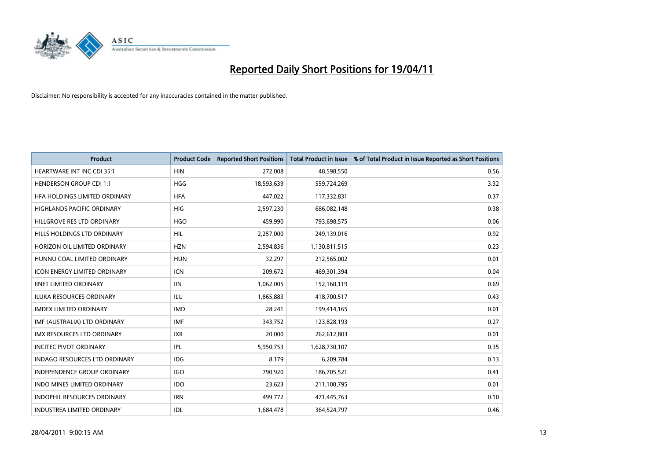

| <b>Product</b>                       | <b>Product Code</b> | <b>Reported Short Positions</b> | Total Product in Issue | % of Total Product in Issue Reported as Short Positions |
|--------------------------------------|---------------------|---------------------------------|------------------------|---------------------------------------------------------|
| <b>HEARTWARE INT INC CDI 35:1</b>    | <b>HIN</b>          | 272,008                         | 48,598,550             | 0.56                                                    |
| <b>HENDERSON GROUP CDI 1:1</b>       | HGG                 | 18,593,639                      | 559,724,269            | 3.32                                                    |
| HEA HOLDINGS LIMITED ORDINARY        | <b>HFA</b>          | 447,022                         | 117,332,831            | 0.37                                                    |
| HIGHLANDS PACIFIC ORDINARY           | <b>HIG</b>          | 2,597,230                       | 686,082,148            | 0.38                                                    |
| HILLGROVE RES LTD ORDINARY           | <b>HGO</b>          | 459,990                         | 793,698,575            | 0.06                                                    |
| HILLS HOLDINGS LTD ORDINARY          | <b>HIL</b>          | 2,257,000                       | 249,139,016            | 0.92                                                    |
| HORIZON OIL LIMITED ORDINARY         | <b>HZN</b>          | 2,594,836                       | 1,130,811,515          | 0.23                                                    |
| HUNNU COAL LIMITED ORDINARY          | <b>HUN</b>          | 32,297                          | 212,565,002            | 0.01                                                    |
| <b>ICON ENERGY LIMITED ORDINARY</b>  | <b>ICN</b>          | 209,672                         | 469,301,394            | 0.04                                                    |
| <b>IINET LIMITED ORDINARY</b>        | <b>IIN</b>          | 1,062,005                       | 152,160,119            | 0.69                                                    |
| <b>ILUKA RESOURCES ORDINARY</b>      | <b>ILU</b>          | 1,865,883                       | 418,700,517            | 0.43                                                    |
| <b>IMDEX LIMITED ORDINARY</b>        | <b>IMD</b>          | 28,241                          | 199,414,165            | 0.01                                                    |
| IMF (AUSTRALIA) LTD ORDINARY         | <b>IMF</b>          | 343,752                         | 123,828,193            | 0.27                                                    |
| <b>IMX RESOURCES LTD ORDINARY</b>    | <b>IXR</b>          | 20,000                          | 262,612,803            | 0.01                                                    |
| <b>INCITEC PIVOT ORDINARY</b>        | IPL                 | 5,950,753                       | 1,628,730,107          | 0.35                                                    |
| <b>INDAGO RESOURCES LTD ORDINARY</b> | <b>IDG</b>          | 8,179                           | 6,209,784              | 0.13                                                    |
| INDEPENDENCE GROUP ORDINARY          | <b>IGO</b>          | 790,920                         | 186,705,521            | 0.41                                                    |
| INDO MINES LIMITED ORDINARY          | <b>IDO</b>          | 23,623                          | 211,100,795            | 0.01                                                    |
| <b>INDOPHIL RESOURCES ORDINARY</b>   | <b>IRN</b>          | 499,772                         | 471,445,763            | 0.10                                                    |
| INDUSTREA LIMITED ORDINARY           | IDL                 | 1,684,478                       | 364,524,797            | 0.46                                                    |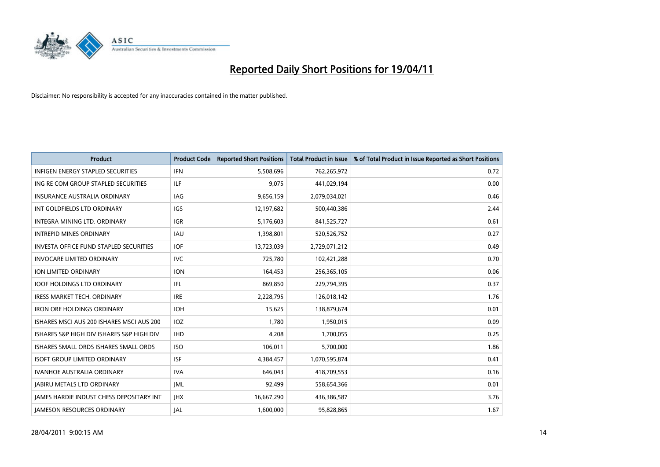

| <b>Product</b>                                  | <b>Product Code</b> | <b>Reported Short Positions</b> | <b>Total Product in Issue</b> | % of Total Product in Issue Reported as Short Positions |
|-------------------------------------------------|---------------------|---------------------------------|-------------------------------|---------------------------------------------------------|
| <b>INFIGEN ENERGY STAPLED SECURITIES</b>        | <b>IFN</b>          | 5,508,696                       | 762,265,972                   | 0.72                                                    |
| ING RE COM GROUP STAPLED SECURITIES             | <b>ILF</b>          | 9,075                           | 441,029,194                   | 0.00                                                    |
| <b>INSURANCE AUSTRALIA ORDINARY</b>             | <b>IAG</b>          | 9,656,159                       | 2,079,034,021                 | 0.46                                                    |
| INT GOLDFIELDS LTD ORDINARY                     | <b>IGS</b>          | 12,197,682                      | 500,440,386                   | 2.44                                                    |
| <b>INTEGRA MINING LTD, ORDINARY</b>             | <b>IGR</b>          | 5,176,603                       | 841,525,727                   | 0.61                                                    |
| <b>INTREPID MINES ORDINARY</b>                  | <b>IAU</b>          | 1,398,801                       | 520,526,752                   | 0.27                                                    |
| <b>INVESTA OFFICE FUND STAPLED SECURITIES</b>   | <b>IOF</b>          | 13,723,039                      | 2,729,071,212                 | 0.49                                                    |
| <b>INVOCARE LIMITED ORDINARY</b>                | <b>IVC</b>          | 725,780                         | 102,421,288                   | 0.70                                                    |
| ION LIMITED ORDINARY                            | <b>ION</b>          | 164,453                         | 256,365,105                   | 0.06                                                    |
| <b>IOOF HOLDINGS LTD ORDINARY</b>               | IFL.                | 869,850                         | 229,794,395                   | 0.37                                                    |
| IRESS MARKET TECH. ORDINARY                     | <b>IRE</b>          | 2,228,795                       | 126,018,142                   | 1.76                                                    |
| <b>IRON ORE HOLDINGS ORDINARY</b>               | <b>IOH</b>          | 15,625                          | 138,879,674                   | 0.01                                                    |
| ISHARES MSCI AUS 200 ISHARES MSCI AUS 200       | <b>IOZ</b>          | 1.780                           | 1,950,015                     | 0.09                                                    |
| ISHARES S&P HIGH DIV ISHARES S&P HIGH DIV       | <b>IHD</b>          | 4,208                           | 1,700,055                     | 0.25                                                    |
| ISHARES SMALL ORDS ISHARES SMALL ORDS           | <b>ISO</b>          | 106,011                         | 5,700,000                     | 1.86                                                    |
| <b>ISOFT GROUP LIMITED ORDINARY</b>             | <b>ISF</b>          | 4,384,457                       | 1,070,595,874                 | 0.41                                                    |
| <b>IVANHOE AUSTRALIA ORDINARY</b>               | <b>IVA</b>          | 646.043                         | 418,709,553                   | 0.16                                                    |
| <b>JABIRU METALS LTD ORDINARY</b>               | <b>JML</b>          | 92,499                          | 558,654,366                   | 0.01                                                    |
| <b>IAMES HARDIE INDUST CHESS DEPOSITARY INT</b> | <b>IHX</b>          | 16,667,290                      | 436,386,587                   | 3.76                                                    |
| <b>IAMESON RESOURCES ORDINARY</b>               | <b>JAL</b>          | 1.600.000                       | 95,828,865                    | 1.67                                                    |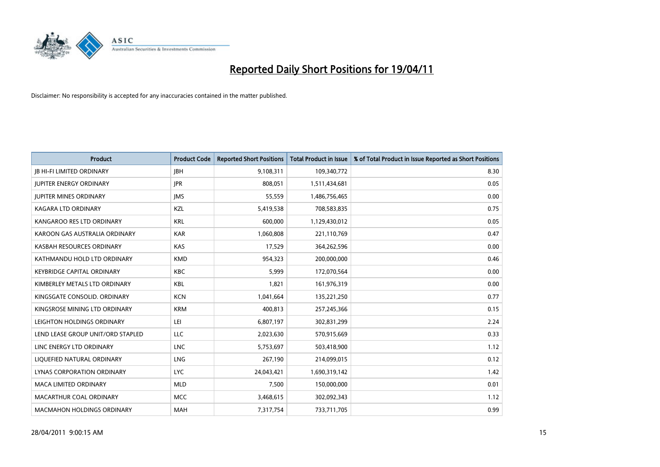

| <b>Product</b>                    | <b>Product Code</b> | <b>Reported Short Positions</b> | <b>Total Product in Issue</b> | % of Total Product in Issue Reported as Short Positions |
|-----------------------------------|---------------------|---------------------------------|-------------------------------|---------------------------------------------------------|
| <b>JB HI-FI LIMITED ORDINARY</b>  | <b>IBH</b>          | 9,108,311                       | 109,340,772                   | 8.30                                                    |
| <b>JUPITER ENERGY ORDINARY</b>    | <b>JPR</b>          | 808,051                         | 1,511,434,681                 | 0.05                                                    |
| <b>JUPITER MINES ORDINARY</b>     | <b>IMS</b>          | 55,559                          | 1,486,756,465                 | 0.00                                                    |
| KAGARA LTD ORDINARY               | KZL                 | 5,419,538                       | 708,583,835                   | 0.75                                                    |
| KANGAROO RES LTD ORDINARY         | <b>KRL</b>          | 600.000                         | 1,129,430,012                 | 0.05                                                    |
| KAROON GAS AUSTRALIA ORDINARY     | <b>KAR</b>          | 1,060,808                       | 221,110,769                   | 0.47                                                    |
| KASBAH RESOURCES ORDINARY         | <b>KAS</b>          | 17,529                          | 364,262,596                   | 0.00                                                    |
| KATHMANDU HOLD LTD ORDINARY       | <b>KMD</b>          | 954,323                         | 200,000,000                   | 0.46                                                    |
| <b>KEYBRIDGE CAPITAL ORDINARY</b> | <b>KBC</b>          | 5,999                           | 172,070,564                   | 0.00                                                    |
| KIMBERLEY METALS LTD ORDINARY     | <b>KBL</b>          | 1,821                           | 161,976,319                   | 0.00                                                    |
| KINGSGATE CONSOLID. ORDINARY      | <b>KCN</b>          | 1,041,664                       | 135,221,250                   | 0.77                                                    |
| KINGSROSE MINING LTD ORDINARY     | <b>KRM</b>          | 400,813                         | 257,245,366                   | 0.15                                                    |
| LEIGHTON HOLDINGS ORDINARY        | LEI                 | 6,807,197                       | 302,831,299                   | 2.24                                                    |
| LEND LEASE GROUP UNIT/ORD STAPLED | LLC                 | 2,023,630                       | 570,915,669                   | 0.33                                                    |
| LINC ENERGY LTD ORDINARY          | <b>LNC</b>          | 5,753,697                       | 503,418,900                   | 1.12                                                    |
| LIQUEFIED NATURAL ORDINARY        | LNG                 | 267,190                         | 214,099,015                   | 0.12                                                    |
| <b>LYNAS CORPORATION ORDINARY</b> | <b>LYC</b>          | 24,043,421                      | 1,690,319,142                 | 1.42                                                    |
| <b>MACA LIMITED ORDINARY</b>      | <b>MLD</b>          | 7,500                           | 150,000,000                   | 0.01                                                    |
| MACARTHUR COAL ORDINARY           | <b>MCC</b>          | 3,468,615                       | 302,092,343                   | 1.12                                                    |
| <b>MACMAHON HOLDINGS ORDINARY</b> | <b>MAH</b>          | 7,317,754                       | 733,711,705                   | 0.99                                                    |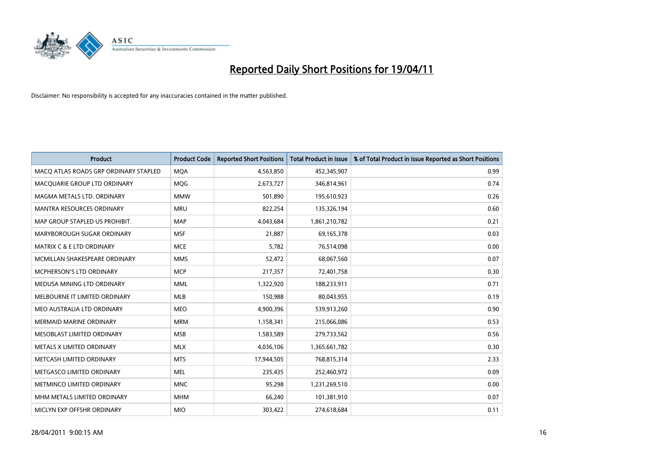

| <b>Product</b>                        | <b>Product Code</b> | <b>Reported Short Positions</b> | <b>Total Product in Issue</b> | % of Total Product in Issue Reported as Short Positions |
|---------------------------------------|---------------------|---------------------------------|-------------------------------|---------------------------------------------------------|
| MACQ ATLAS ROADS GRP ORDINARY STAPLED | <b>MQA</b>          | 4,563,850                       | 452,345,907                   | 0.99                                                    |
| MACQUARIE GROUP LTD ORDINARY          | <b>MOG</b>          | 2,673,727                       | 346,814,961                   | 0.74                                                    |
| MAGMA METALS LTD. ORDINARY            | <b>MMW</b>          | 501.890                         | 195,610,923                   | 0.26                                                    |
| MANTRA RESOURCES ORDINARY             | <b>MRU</b>          | 822,254                         | 135,326,194                   | 0.60                                                    |
| MAP GROUP STAPLED US PROHIBIT.        | <b>MAP</b>          | 4,043,684                       | 1,861,210,782                 | 0.21                                                    |
| MARYBOROUGH SUGAR ORDINARY            | <b>MSF</b>          | 21,887                          | 69,165,378                    | 0.03                                                    |
| <b>MATRIX C &amp; E LTD ORDINARY</b>  | <b>MCE</b>          | 5,782                           | 76,514,098                    | 0.00                                                    |
| MCMILLAN SHAKESPEARE ORDINARY         | <b>MMS</b>          | 52,472                          | 68,067,560                    | 0.07                                                    |
| MCPHERSON'S LTD ORDINARY              | <b>MCP</b>          | 217,357                         | 72,401,758                    | 0.30                                                    |
| MEDUSA MINING LTD ORDINARY            | <b>MML</b>          | 1,322,920                       | 188,233,911                   | 0.71                                                    |
| MELBOURNE IT LIMITED ORDINARY         | <b>MLB</b>          | 150,988                         | 80,043,955                    | 0.19                                                    |
| MEO AUSTRALIA LTD ORDINARY            | <b>MEO</b>          | 4,900,396                       | 539,913,260                   | 0.90                                                    |
| <b>MERMAID MARINE ORDINARY</b>        | <b>MRM</b>          | 1,158,341                       | 215,066,086                   | 0.53                                                    |
| MESOBLAST LIMITED ORDINARY            | <b>MSB</b>          | 1,583,589                       | 279,733,562                   | 0.56                                                    |
| METALS X LIMITED ORDINARY             | <b>MLX</b>          | 4,036,106                       | 1,365,661,782                 | 0.30                                                    |
| METCASH LIMITED ORDINARY              | <b>MTS</b>          | 17,944,505                      | 768,815,314                   | 2.33                                                    |
| METGASCO LIMITED ORDINARY             | <b>MEL</b>          | 235,435                         | 252,460,972                   | 0.09                                                    |
| METMINCO LIMITED ORDINARY             | <b>MNC</b>          | 95,298                          | 1,231,269,510                 | 0.00                                                    |
| MHM METALS LIMITED ORDINARY           | <b>MHM</b>          | 66,240                          | 101,381,910                   | 0.07                                                    |
| MICLYN EXP OFFSHR ORDINARY            | <b>MIO</b>          | 303,422                         | 274,618,684                   | 0.11                                                    |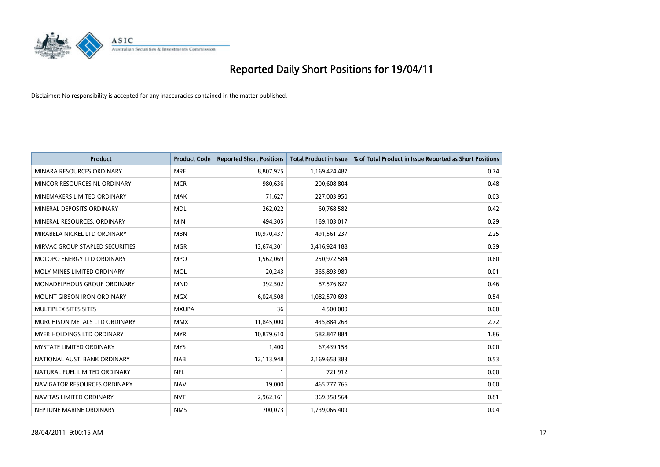

| <b>Product</b>                    | <b>Product Code</b> | <b>Reported Short Positions</b> | <b>Total Product in Issue</b> | % of Total Product in Issue Reported as Short Positions |
|-----------------------------------|---------------------|---------------------------------|-------------------------------|---------------------------------------------------------|
| MINARA RESOURCES ORDINARY         | <b>MRE</b>          | 8,807,925                       | 1,169,424,487                 | 0.74                                                    |
| MINCOR RESOURCES NL ORDINARY      | <b>MCR</b>          | 980,636                         | 200,608,804                   | 0.48                                                    |
| MINEMAKERS LIMITED ORDINARY       | <b>MAK</b>          | 71,627                          | 227,003,950                   | 0.03                                                    |
| MINERAL DEPOSITS ORDINARY         | <b>MDL</b>          | 262,022                         | 60,768,582                    | 0.42                                                    |
| MINERAL RESOURCES, ORDINARY       | <b>MIN</b>          | 494,305                         | 169,103,017                   | 0.29                                                    |
| MIRABELA NICKEL LTD ORDINARY      | <b>MBN</b>          | 10,970,437                      | 491,561,237                   | 2.25                                                    |
| MIRVAC GROUP STAPLED SECURITIES   | <b>MGR</b>          | 13,674,301                      | 3,416,924,188                 | 0.39                                                    |
| <b>MOLOPO ENERGY LTD ORDINARY</b> | <b>MPO</b>          | 1,562,069                       | 250,972,584                   | 0.60                                                    |
| MOLY MINES LIMITED ORDINARY       | <b>MOL</b>          | 20,243                          | 365,893,989                   | 0.01                                                    |
| MONADELPHOUS GROUP ORDINARY       | <b>MND</b>          | 392,502                         | 87,576,827                    | 0.46                                                    |
| MOUNT GIBSON IRON ORDINARY        | <b>MGX</b>          | 6,024,508                       | 1,082,570,693                 | 0.54                                                    |
| MULTIPLEX SITES SITES             | <b>MXUPA</b>        | 36                              | 4,500,000                     | 0.00                                                    |
| MURCHISON METALS LTD ORDINARY     | <b>MMX</b>          | 11,845,000                      | 435,884,268                   | 2.72                                                    |
| <b>MYER HOLDINGS LTD ORDINARY</b> | <b>MYR</b>          | 10,879,610                      | 582,847,884                   | 1.86                                                    |
| <b>MYSTATE LIMITED ORDINARY</b>   | <b>MYS</b>          | 1,400                           | 67,439,158                    | 0.00                                                    |
| NATIONAL AUST. BANK ORDINARY      | <b>NAB</b>          | 12,113,948                      | 2,169,658,383                 | 0.53                                                    |
| NATURAL FUEL LIMITED ORDINARY     | <b>NFL</b>          |                                 | 721,912                       | 0.00                                                    |
| NAVIGATOR RESOURCES ORDINARY      | <b>NAV</b>          | 19,000                          | 465,777,766                   | 0.00                                                    |
| NAVITAS LIMITED ORDINARY          | <b>NVT</b>          | 2,962,161                       | 369,358,564                   | 0.81                                                    |
| NEPTUNE MARINE ORDINARY           | <b>NMS</b>          | 700,073                         | 1,739,066,409                 | 0.04                                                    |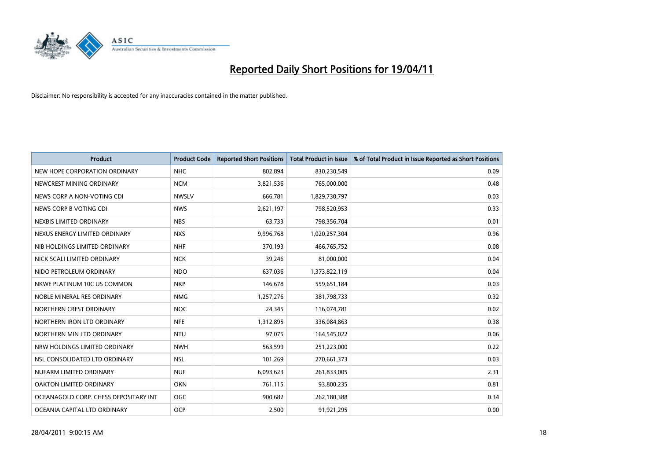

| <b>Product</b>                        | <b>Product Code</b> | <b>Reported Short Positions</b> | <b>Total Product in Issue</b> | % of Total Product in Issue Reported as Short Positions |
|---------------------------------------|---------------------|---------------------------------|-------------------------------|---------------------------------------------------------|
| NEW HOPE CORPORATION ORDINARY         | <b>NHC</b>          | 802,894                         | 830,230,549                   | 0.09                                                    |
| NEWCREST MINING ORDINARY              | <b>NCM</b>          | 3,821,536                       | 765,000,000                   | 0.48                                                    |
| NEWS CORP A NON-VOTING CDI            | <b>NWSLV</b>        | 666,781                         | 1,829,730,797                 | 0.03                                                    |
| NEWS CORP B VOTING CDI                | <b>NWS</b>          | 2,621,197                       | 798,520,953                   | 0.33                                                    |
| NEXBIS LIMITED ORDINARY               | <b>NBS</b>          | 63,733                          | 798,356,704                   | 0.01                                                    |
| NEXUS ENERGY LIMITED ORDINARY         | <b>NXS</b>          | 9,996,768                       | 1,020,257,304                 | 0.96                                                    |
| NIB HOLDINGS LIMITED ORDINARY         | <b>NHF</b>          | 370,193                         | 466,765,752                   | 0.08                                                    |
| NICK SCALI LIMITED ORDINARY           | <b>NCK</b>          | 39,246                          | 81,000,000                    | 0.04                                                    |
| NIDO PETROLEUM ORDINARY               | <b>NDO</b>          | 637,036                         | 1,373,822,119                 | 0.04                                                    |
| NKWE PLATINUM 10C US COMMON           | <b>NKP</b>          | 146,678                         | 559,651,184                   | 0.03                                                    |
| NOBLE MINERAL RES ORDINARY            | <b>NMG</b>          | 1,257,276                       | 381,798,733                   | 0.32                                                    |
| NORTHERN CREST ORDINARY               | <b>NOC</b>          | 24,345                          | 116,074,781                   | 0.02                                                    |
| NORTHERN IRON LTD ORDINARY            | <b>NFE</b>          | 1,312,895                       | 336,084,863                   | 0.38                                                    |
| NORTHERN MIN LTD ORDINARY             | <b>NTU</b>          | 97,075                          | 164,545,022                   | 0.06                                                    |
| NRW HOLDINGS LIMITED ORDINARY         | <b>NWH</b>          | 563,599                         | 251,223,000                   | 0.22                                                    |
| NSL CONSOLIDATED LTD ORDINARY         | <b>NSL</b>          | 101,269                         | 270,661,373                   | 0.03                                                    |
| NUFARM LIMITED ORDINARY               | <b>NUF</b>          | 6,093,623                       | 261,833,005                   | 2.31                                                    |
| OAKTON LIMITED ORDINARY               | <b>OKN</b>          | 761,115                         | 93,800,235                    | 0.81                                                    |
| OCEANAGOLD CORP. CHESS DEPOSITARY INT | <b>OGC</b>          | 900,682                         | 262,180,388                   | 0.34                                                    |
| OCEANIA CAPITAL LTD ORDINARY          | <b>OCP</b>          | 2,500                           | 91,921,295                    | 0.00                                                    |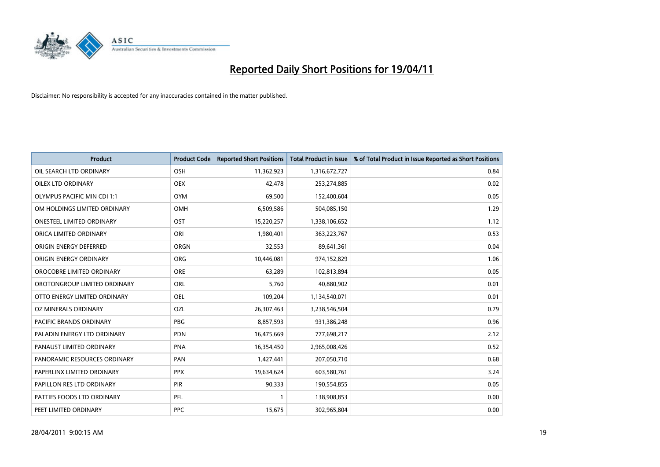

| <b>Product</b>                     | <b>Product Code</b> | <b>Reported Short Positions</b> | <b>Total Product in Issue</b> | % of Total Product in Issue Reported as Short Positions |
|------------------------------------|---------------------|---------------------------------|-------------------------------|---------------------------------------------------------|
| OIL SEARCH LTD ORDINARY            | OSH                 | 11,362,923                      | 1,316,672,727                 | 0.84                                                    |
| <b>OILEX LTD ORDINARY</b>          | <b>OEX</b>          | 42.478                          | 253,274,885                   | 0.02                                                    |
| <b>OLYMPUS PACIFIC MIN CDI 1:1</b> | <b>OYM</b>          | 69,500                          | 152,400,604                   | 0.05                                                    |
| OM HOLDINGS LIMITED ORDINARY       | <b>OMH</b>          | 6,509,586                       | 504,085,150                   | 1.29                                                    |
| <b>ONESTEEL LIMITED ORDINARY</b>   | OST                 | 15,220,257                      | 1,338,106,652                 | 1.12                                                    |
| ORICA LIMITED ORDINARY             | ORI                 | 1,980,401                       | 363,223,767                   | 0.53                                                    |
| ORIGIN ENERGY DEFERRED             | <b>ORGN</b>         | 32,553                          | 89,641,361                    | 0.04                                                    |
| ORIGIN ENERGY ORDINARY             | <b>ORG</b>          | 10,446,081                      | 974,152,829                   | 1.06                                                    |
| OROCOBRE LIMITED ORDINARY          | <b>ORE</b>          | 63,289                          | 102,813,894                   | 0.05                                                    |
| OROTONGROUP LIMITED ORDINARY       | <b>ORL</b>          | 5,760                           | 40,880,902                    | 0.01                                                    |
| OTTO ENERGY LIMITED ORDINARY       | <b>OEL</b>          | 109,204                         | 1,134,540,071                 | 0.01                                                    |
| OZ MINERALS ORDINARY               | OZL                 | 26,307,463                      | 3,238,546,504                 | 0.79                                                    |
| <b>PACIFIC BRANDS ORDINARY</b>     | <b>PBG</b>          | 8,857,593                       | 931,386,248                   | 0.96                                                    |
| PALADIN ENERGY LTD ORDINARY        | <b>PDN</b>          | 16,475,669                      | 777,698,217                   | 2.12                                                    |
| PANAUST LIMITED ORDINARY           | <b>PNA</b>          | 16,354,450                      | 2,965,008,426                 | 0.52                                                    |
| PANORAMIC RESOURCES ORDINARY       | PAN                 | 1,427,441                       | 207,050,710                   | 0.68                                                    |
| PAPERLINX LIMITED ORDINARY         | <b>PPX</b>          | 19,634,624                      | 603,580,761                   | 3.24                                                    |
| PAPILLON RES LTD ORDINARY          | <b>PIR</b>          | 90,333                          | 190,554,855                   | 0.05                                                    |
| PATTIES FOODS LTD ORDINARY         | PFL                 |                                 | 138,908,853                   | 0.00                                                    |
| PEET LIMITED ORDINARY              | <b>PPC</b>          | 15,675                          | 302,965,804                   | 0.00                                                    |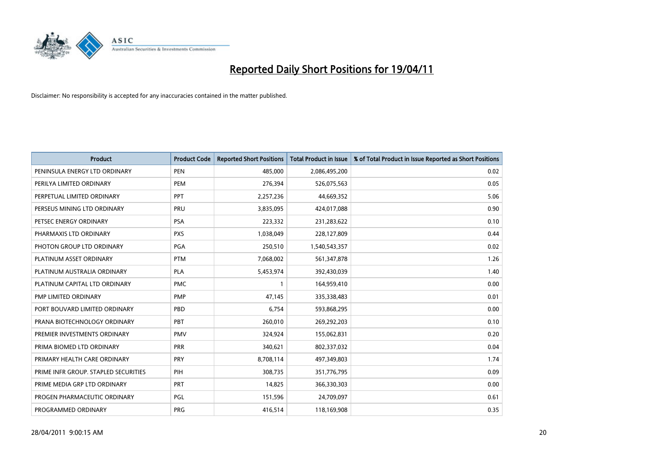

| <b>Product</b>                       | <b>Product Code</b> | <b>Reported Short Positions</b> | <b>Total Product in Issue</b> | % of Total Product in Issue Reported as Short Positions |
|--------------------------------------|---------------------|---------------------------------|-------------------------------|---------------------------------------------------------|
| PENINSULA ENERGY LTD ORDINARY        | <b>PEN</b>          | 485.000                         | 2,086,495,200                 | 0.02                                                    |
| PERILYA LIMITED ORDINARY             | <b>PEM</b>          | 276,394                         | 526,075,563                   | 0.05                                                    |
| PERPETUAL LIMITED ORDINARY           | PPT                 | 2,257,236                       | 44,669,352                    | 5.06                                                    |
| PERSEUS MINING LTD ORDINARY          | PRU                 | 3,835,095                       | 424,017,088                   | 0.90                                                    |
| PETSEC ENERGY ORDINARY               | <b>PSA</b>          | 223,332                         | 231,283,622                   | 0.10                                                    |
| PHARMAXIS LTD ORDINARY               | <b>PXS</b>          | 1,038,049                       | 228,127,809                   | 0.44                                                    |
| PHOTON GROUP LTD ORDINARY            | PGA                 | 250,510                         | 1,540,543,357                 | 0.02                                                    |
| PLATINUM ASSET ORDINARY              | <b>PTM</b>          | 7,068,002                       | 561,347,878                   | 1.26                                                    |
| PLATINUM AUSTRALIA ORDINARY          | PLA                 | 5,453,974                       | 392,430,039                   | 1.40                                                    |
| PLATINUM CAPITAL LTD ORDINARY        | <b>PMC</b>          |                                 | 164,959,410                   | 0.00                                                    |
| PMP LIMITED ORDINARY                 | <b>PMP</b>          | 47,145                          | 335,338,483                   | 0.01                                                    |
| PORT BOUVARD LIMITED ORDINARY        | PBD                 | 6,754                           | 593,868,295                   | 0.00                                                    |
| PRANA BIOTECHNOLOGY ORDINARY         | PBT                 | 260,010                         | 269,292,203                   | 0.10                                                    |
| PREMIER INVESTMENTS ORDINARY         | <b>PMV</b>          | 324,924                         | 155,062,831                   | 0.20                                                    |
| PRIMA BIOMED LTD ORDINARY            | <b>PRR</b>          | 340,621                         | 802,337,032                   | 0.04                                                    |
| PRIMARY HEALTH CARE ORDINARY         | <b>PRY</b>          | 8,708,114                       | 497,349,803                   | 1.74                                                    |
| PRIME INFR GROUP. STAPLED SECURITIES | PIH                 | 308,735                         | 351,776,795                   | 0.09                                                    |
| PRIME MEDIA GRP LTD ORDINARY         | <b>PRT</b>          | 14,825                          | 366,330,303                   | 0.00                                                    |
| PROGEN PHARMACEUTIC ORDINARY         | PGL                 | 151,596                         | 24,709,097                    | 0.61                                                    |
| PROGRAMMED ORDINARY                  | <b>PRG</b>          | 416,514                         | 118,169,908                   | 0.35                                                    |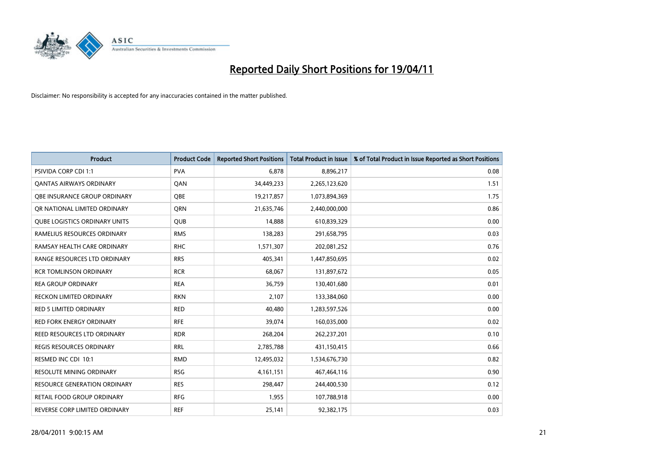

| <b>Product</b>                       | <b>Product Code</b> | <b>Reported Short Positions</b> | <b>Total Product in Issue</b> | % of Total Product in Issue Reported as Short Positions |
|--------------------------------------|---------------------|---------------------------------|-------------------------------|---------------------------------------------------------|
| <b>PSIVIDA CORP CDI 1:1</b>          | <b>PVA</b>          | 6,878                           | 8,896,217                     | 0.08                                                    |
| <b>QANTAS AIRWAYS ORDINARY</b>       | QAN                 | 34,449,233                      | 2,265,123,620                 | 1.51                                                    |
| OBE INSURANCE GROUP ORDINARY         | OBE                 | 19,217,857                      | 1,073,894,369                 | 1.75                                                    |
| OR NATIONAL LIMITED ORDINARY         | <b>ORN</b>          | 21,635,746                      | 2,440,000,000                 | 0.86                                                    |
| <b>OUBE LOGISTICS ORDINARY UNITS</b> | QUB                 | 14,888                          | 610,839,329                   | 0.00                                                    |
| RAMELIUS RESOURCES ORDINARY          | <b>RMS</b>          | 138,283                         | 291,658,795                   | 0.03                                                    |
| RAMSAY HEALTH CARE ORDINARY          | <b>RHC</b>          | 1,571,307                       | 202,081,252                   | 0.76                                                    |
| RANGE RESOURCES LTD ORDINARY         | <b>RRS</b>          | 405,341                         | 1,447,850,695                 | 0.02                                                    |
| <b>RCR TOMLINSON ORDINARY</b>        | <b>RCR</b>          | 68,067                          | 131,897,672                   | 0.05                                                    |
| <b>REA GROUP ORDINARY</b>            | <b>REA</b>          | 36,759                          | 130,401,680                   | 0.01                                                    |
| <b>RECKON LIMITED ORDINARY</b>       | <b>RKN</b>          | 2,107                           | 133,384,060                   | 0.00                                                    |
| <b>RED 5 LIMITED ORDINARY</b>        | <b>RED</b>          | 40,480                          | 1,283,597,526                 | 0.00                                                    |
| <b>RED FORK ENERGY ORDINARY</b>      | <b>RFE</b>          | 39,074                          | 160,035,000                   | 0.02                                                    |
| REED RESOURCES LTD ORDINARY          | <b>RDR</b>          | 268,204                         | 262,237,201                   | 0.10                                                    |
| <b>REGIS RESOURCES ORDINARY</b>      | <b>RRL</b>          | 2,785,788                       | 431,150,415                   | 0.66                                                    |
| RESMED INC CDI 10:1                  | <b>RMD</b>          | 12,495,032                      | 1,534,676,730                 | 0.82                                                    |
| <b>RESOLUTE MINING ORDINARY</b>      | <b>RSG</b>          | 4,161,151                       | 467,464,116                   | 0.90                                                    |
| RESOURCE GENERATION ORDINARY         | <b>RES</b>          | 298,447                         | 244,400,530                   | 0.12                                                    |
| <b>RETAIL FOOD GROUP ORDINARY</b>    | <b>RFG</b>          | 1,955                           | 107,788,918                   | 0.00                                                    |
| REVERSE CORP LIMITED ORDINARY        | <b>REF</b>          | 25,141                          | 92,382,175                    | 0.03                                                    |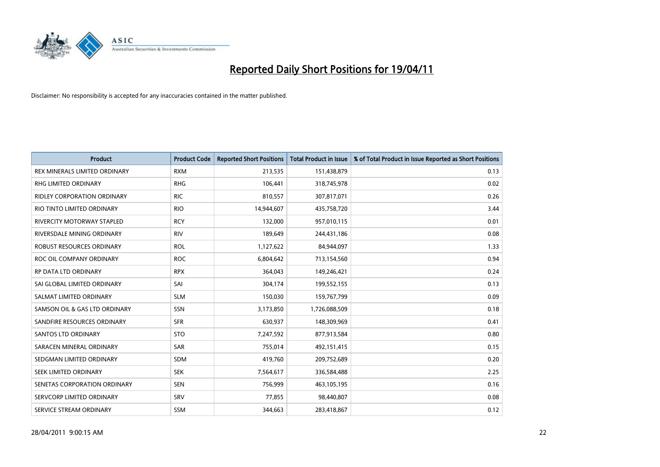

| <b>Product</b>                       | <b>Product Code</b> | <b>Reported Short Positions</b> | <b>Total Product in Issue</b> | % of Total Product in Issue Reported as Short Positions |
|--------------------------------------|---------------------|---------------------------------|-------------------------------|---------------------------------------------------------|
| <b>REX MINERALS LIMITED ORDINARY</b> | <b>RXM</b>          | 213,535                         | 151,438,879                   | 0.13                                                    |
| RHG LIMITED ORDINARY                 | <b>RHG</b>          | 106,441                         | 318,745,978                   | 0.02                                                    |
| <b>RIDLEY CORPORATION ORDINARY</b>   | <b>RIC</b>          | 810,557                         | 307,817,071                   | 0.26                                                    |
| RIO TINTO LIMITED ORDINARY           | <b>RIO</b>          | 14,944,607                      | 435,758,720                   | 3.44                                                    |
| <b>RIVERCITY MOTORWAY STAPLED</b>    | <b>RCY</b>          | 132,000                         | 957,010,115                   | 0.01                                                    |
| RIVERSDALE MINING ORDINARY           | <b>RIV</b>          | 189,649                         | 244,431,186                   | 0.08                                                    |
| ROBUST RESOURCES ORDINARY            | <b>ROL</b>          | 1,127,622                       | 84,944,097                    | 1.33                                                    |
| ROC OIL COMPANY ORDINARY             | <b>ROC</b>          | 6,804,642                       | 713,154,560                   | 0.94                                                    |
| RP DATA LTD ORDINARY                 | <b>RPX</b>          | 364,043                         | 149,246,421                   | 0.24                                                    |
| SAI GLOBAL LIMITED ORDINARY          | SAI                 | 304,174                         | 199,552,155                   | 0.13                                                    |
| SALMAT LIMITED ORDINARY              | <b>SLM</b>          | 150,030                         | 159,767,799                   | 0.09                                                    |
| SAMSON OIL & GAS LTD ORDINARY        | <b>SSN</b>          | 3,173,850                       | 1,726,088,509                 | 0.18                                                    |
| SANDFIRE RESOURCES ORDINARY          | <b>SFR</b>          | 630,937                         | 148,309,969                   | 0.41                                                    |
| <b>SANTOS LTD ORDINARY</b>           | <b>STO</b>          | 7,247,592                       | 877,913,584                   | 0.80                                                    |
| SARACEN MINERAL ORDINARY             | SAR                 | 755,014                         | 492,151,415                   | 0.15                                                    |
| SEDGMAN LIMITED ORDINARY             | <b>SDM</b>          | 419,760                         | 209,752,689                   | 0.20                                                    |
| SEEK LIMITED ORDINARY                | <b>SEK</b>          | 7,564,617                       | 336,584,488                   | 2.25                                                    |
| SENETAS CORPORATION ORDINARY         | <b>SEN</b>          | 756,999                         | 463,105,195                   | 0.16                                                    |
| SERVCORP LIMITED ORDINARY            | SRV                 | 77,855                          | 98,440,807                    | 0.08                                                    |
| SERVICE STREAM ORDINARY              | <b>SSM</b>          | 344.663                         | 283,418,867                   | 0.12                                                    |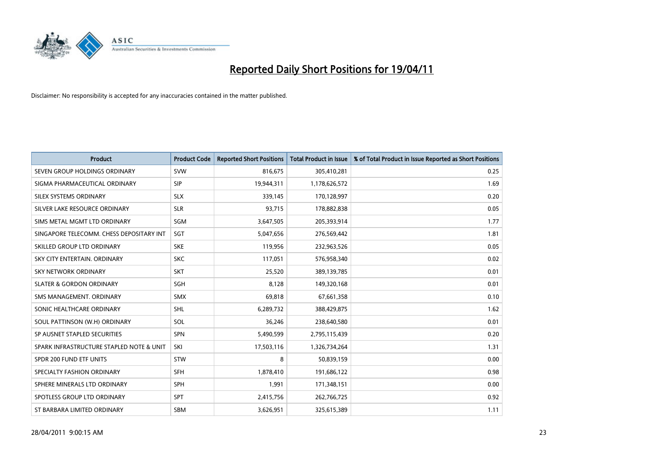

| <b>Product</b>                           | <b>Product Code</b> | <b>Reported Short Positions</b> | <b>Total Product in Issue</b> | % of Total Product in Issue Reported as Short Positions |
|------------------------------------------|---------------------|---------------------------------|-------------------------------|---------------------------------------------------------|
| SEVEN GROUP HOLDINGS ORDINARY            | <b>SVW</b>          | 816,675                         | 305,410,281                   | 0.25                                                    |
| SIGMA PHARMACEUTICAL ORDINARY            | <b>SIP</b>          | 19,944,311                      | 1,178,626,572                 | 1.69                                                    |
| SILEX SYSTEMS ORDINARY                   | <b>SLX</b>          | 339,145                         | 170,128,997                   | 0.20                                                    |
| SILVER LAKE RESOURCE ORDINARY            | <b>SLR</b>          | 93,715                          | 178,882,838                   | 0.05                                                    |
| SIMS METAL MGMT LTD ORDINARY             | SGM                 | 3,647,505                       | 205,393,914                   | 1.77                                                    |
| SINGAPORE TELECOMM. CHESS DEPOSITARY INT | SGT                 | 5,047,656                       | 276,569,442                   | 1.81                                                    |
| SKILLED GROUP LTD ORDINARY               | <b>SKE</b>          | 119,956                         | 232,963,526                   | 0.05                                                    |
| SKY CITY ENTERTAIN. ORDINARY             | <b>SKC</b>          | 117,051                         | 576,958,340                   | 0.02                                                    |
| <b>SKY NETWORK ORDINARY</b>              | <b>SKT</b>          | 25,520                          | 389,139,785                   | 0.01                                                    |
| <b>SLATER &amp; GORDON ORDINARY</b>      | SGH                 | 8,128                           | 149,320,168                   | 0.01                                                    |
| SMS MANAGEMENT. ORDINARY                 | <b>SMX</b>          | 69,818                          | 67,661,358                    | 0.10                                                    |
| SONIC HEALTHCARE ORDINARY                | <b>SHL</b>          | 6,289,732                       | 388,429,875                   | 1.62                                                    |
| SOUL PATTINSON (W.H) ORDINARY            | SOL                 | 36,246                          | 238,640,580                   | 0.01                                                    |
| SP AUSNET STAPLED SECURITIES             | SPN                 | 5,490,599                       | 2,795,115,439                 | 0.20                                                    |
| SPARK INFRASTRUCTURE STAPLED NOTE & UNIT | SKI                 | 17,503,116                      | 1,326,734,264                 | 1.31                                                    |
| SPDR 200 FUND ETF UNITS                  | <b>STW</b>          | 8                               | 50,839,159                    | 0.00                                                    |
| SPECIALTY FASHION ORDINARY               | SFH                 | 1,878,410                       | 191,686,122                   | 0.98                                                    |
| SPHERE MINERALS LTD ORDINARY             | <b>SPH</b>          | 1,991                           | 171,348,151                   | 0.00                                                    |
| SPOTLESS GROUP LTD ORDINARY              | <b>SPT</b>          | 2,415,756                       | 262,766,725                   | 0.92                                                    |
| ST BARBARA LIMITED ORDINARY              | SBM                 | 3,626,951                       | 325,615,389                   | 1.11                                                    |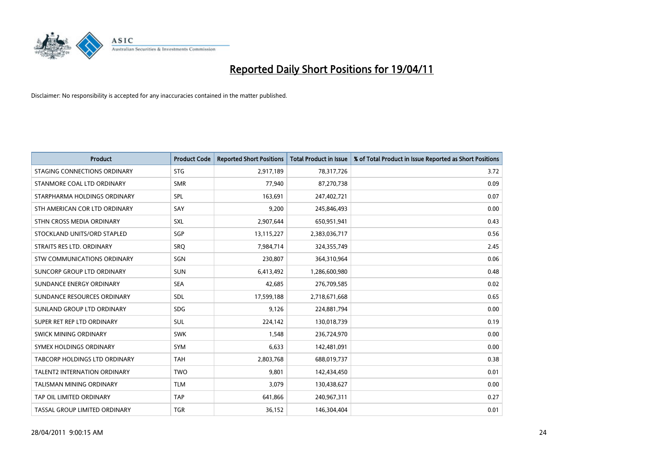

| <b>Product</b>                     | <b>Product Code</b> | <b>Reported Short Positions</b> | <b>Total Product in Issue</b> | % of Total Product in Issue Reported as Short Positions |
|------------------------------------|---------------------|---------------------------------|-------------------------------|---------------------------------------------------------|
| STAGING CONNECTIONS ORDINARY       | <b>STG</b>          | 2,917,189                       | 78,317,726                    | 3.72                                                    |
| STANMORE COAL LTD ORDINARY         | <b>SMR</b>          | 77,940                          | 87,270,738                    | 0.09                                                    |
| STARPHARMA HOLDINGS ORDINARY       | SPL                 | 163,691                         | 247,402,721                   | 0.07                                                    |
| STH AMERICAN COR LTD ORDINARY      | SAY                 | 9,200                           | 245,846,493                   | 0.00                                                    |
| STHN CROSS MEDIA ORDINARY          | SXL                 | 2,907,644                       | 650,951,941                   | 0.43                                                    |
| STOCKLAND UNITS/ORD STAPLED        | SGP                 | 13,115,227                      | 2,383,036,717                 | 0.56                                                    |
| STRAITS RES LTD. ORDINARY          | <b>SRO</b>          | 7,984,714                       | 324,355,749                   | 2.45                                                    |
| <b>STW COMMUNICATIONS ORDINARY</b> | SGN                 | 230,807                         | 364,310,964                   | 0.06                                                    |
| SUNCORP GROUP LTD ORDINARY         | <b>SUN</b>          | 6,413,492                       | 1,286,600,980                 | 0.48                                                    |
| SUNDANCE ENERGY ORDINARY           | <b>SEA</b>          | 42,685                          | 276,709,585                   | 0.02                                                    |
| SUNDANCE RESOURCES ORDINARY        | <b>SDL</b>          | 17,599,188                      | 2,718,671,668                 | 0.65                                                    |
| SUNLAND GROUP LTD ORDINARY         | <b>SDG</b>          | 9,126                           | 224,881,794                   | 0.00                                                    |
| SUPER RET REP LTD ORDINARY         | <b>SUL</b>          | 224,142                         | 130,018,739                   | 0.19                                                    |
| SWICK MINING ORDINARY              | <b>SWK</b>          | 1,548                           | 236,724,970                   | 0.00                                                    |
| SYMEX HOLDINGS ORDINARY            | <b>SYM</b>          | 6,633                           | 142,481,091                   | 0.00                                                    |
| TABCORP HOLDINGS LTD ORDINARY      | <b>TAH</b>          | 2,803,768                       | 688,019,737                   | 0.38                                                    |
| TALENT2 INTERNATION ORDINARY       | <b>TWO</b>          | 9,801                           | 142,434,450                   | 0.01                                                    |
| <b>TALISMAN MINING ORDINARY</b>    | <b>TLM</b>          | 3,079                           | 130,438,627                   | 0.00                                                    |
| TAP OIL LIMITED ORDINARY           | <b>TAP</b>          | 641,866                         | 240,967,311                   | 0.27                                                    |
| TASSAL GROUP LIMITED ORDINARY      | <b>TGR</b>          | 36,152                          | 146,304,404                   | 0.01                                                    |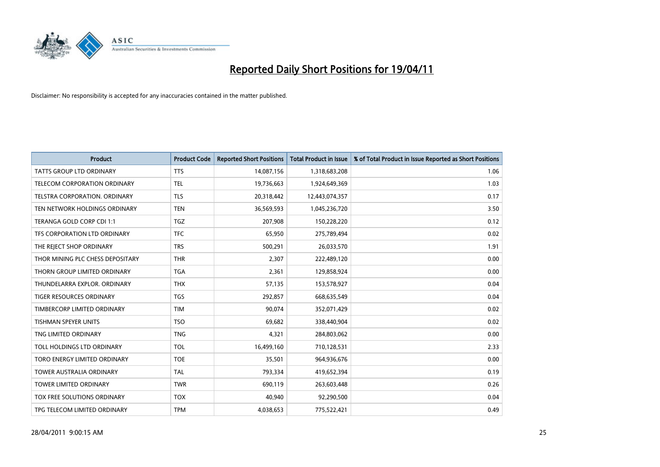

| <b>Product</b>                     | <b>Product Code</b> | <b>Reported Short Positions</b> | Total Product in Issue | % of Total Product in Issue Reported as Short Positions |
|------------------------------------|---------------------|---------------------------------|------------------------|---------------------------------------------------------|
| <b>TATTS GROUP LTD ORDINARY</b>    | <b>TTS</b>          | 14,087,156                      | 1,318,683,208          | 1.06                                                    |
| TELECOM CORPORATION ORDINARY       | <b>TEL</b>          | 19,736,663                      | 1,924,649,369          | 1.03                                                    |
| TELSTRA CORPORATION, ORDINARY      | <b>TLS</b>          | 20,318,442                      | 12,443,074,357         | 0.17                                                    |
| TEN NETWORK HOLDINGS ORDINARY      | <b>TEN</b>          | 36,569,593                      | 1,045,236,720          | 3.50                                                    |
| TERANGA GOLD CORP CDI 1:1          | <b>TGZ</b>          | 207,908                         | 150,228,220            | 0.12                                                    |
| TFS CORPORATION LTD ORDINARY       | <b>TFC</b>          | 65,950                          | 275,789,494            | 0.02                                                    |
| THE REJECT SHOP ORDINARY           | <b>TRS</b>          | 500,291                         | 26,033,570             | 1.91                                                    |
| THOR MINING PLC CHESS DEPOSITARY   | <b>THR</b>          | 2,307                           | 222,489,120            | 0.00                                                    |
| THORN GROUP LIMITED ORDINARY       | <b>TGA</b>          | 2,361                           | 129,858,924            | 0.00                                                    |
| THUNDELARRA EXPLOR, ORDINARY       | <b>THX</b>          | 57,135                          | 153,578,927            | 0.04                                                    |
| TIGER RESOURCES ORDINARY           | <b>TGS</b>          | 292,857                         | 668,635,549            | 0.04                                                    |
| TIMBERCORP LIMITED ORDINARY        | <b>TIM</b>          | 90,074                          | 352,071,429            | 0.02                                                    |
| <b>TISHMAN SPEYER UNITS</b>        | <b>TSO</b>          | 69,682                          | 338,440,904            | 0.02                                                    |
| TNG LIMITED ORDINARY               | <b>TNG</b>          | 4,321                           | 284,803,062            | 0.00                                                    |
| TOLL HOLDINGS LTD ORDINARY         | <b>TOL</b>          | 16,499,160                      | 710,128,531            | 2.33                                                    |
| TORO ENERGY LIMITED ORDINARY       | <b>TOE</b>          | 35,501                          | 964,936,676            | 0.00                                                    |
| <b>TOWER AUSTRALIA ORDINARY</b>    | <b>TAL</b>          | 793,334                         | 419,652,394            | 0.19                                                    |
| TOWER LIMITED ORDINARY             | <b>TWR</b>          | 690,119                         | 263,603,448            | 0.26                                                    |
| <b>TOX FREE SOLUTIONS ORDINARY</b> | <b>TOX</b>          | 40,940                          | 92,290,500             | 0.04                                                    |
| TPG TELECOM LIMITED ORDINARY       | <b>TPM</b>          | 4,038,653                       | 775,522,421            | 0.49                                                    |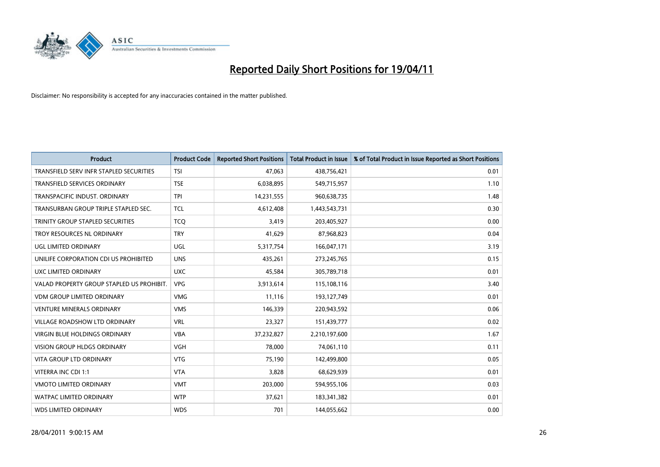

| <b>Product</b>                            | <b>Product Code</b> | <b>Reported Short Positions</b> | <b>Total Product in Issue</b> | % of Total Product in Issue Reported as Short Positions |
|-------------------------------------------|---------------------|---------------------------------|-------------------------------|---------------------------------------------------------|
| TRANSFIELD SERV INFR STAPLED SECURITIES   | <b>TSI</b>          | 47.063                          | 438,756,421                   | 0.01                                                    |
| TRANSFIELD SERVICES ORDINARY              | <b>TSE</b>          | 6,038,895                       | 549,715,957                   | 1.10                                                    |
| TRANSPACIFIC INDUST, ORDINARY             | <b>TPI</b>          | 14,231,555                      | 960,638,735                   | 1.48                                                    |
| TRANSURBAN GROUP TRIPLE STAPLED SEC.      | <b>TCL</b>          | 4,612,408                       | 1,443,543,731                 | 0.30                                                    |
| TRINITY GROUP STAPLED SECURITIES          | <b>TCO</b>          | 3,419                           | 203,405,927                   | 0.00                                                    |
| TROY RESOURCES NL ORDINARY                | <b>TRY</b>          | 41,629                          | 87,968,823                    | 0.04                                                    |
| UGL LIMITED ORDINARY                      | <b>UGL</b>          | 5,317,754                       | 166,047,171                   | 3.19                                                    |
| UNILIFE CORPORATION CDI US PROHIBITED     | <b>UNS</b>          | 435,261                         | 273,245,765                   | 0.15                                                    |
| UXC LIMITED ORDINARY                      | <b>UXC</b>          | 45,584                          | 305,789,718                   | 0.01                                                    |
| VALAD PROPERTY GROUP STAPLED US PROHIBIT. | <b>VPG</b>          | 3,913,614                       | 115,108,116                   | 3.40                                                    |
| VDM GROUP LIMITED ORDINARY                | <b>VMG</b>          | 11,116                          | 193,127,749                   | 0.01                                                    |
| <b>VENTURE MINERALS ORDINARY</b>          | <b>VMS</b>          | 146,339                         | 220,943,592                   | 0.06                                                    |
| VILLAGE ROADSHOW LTD ORDINARY             | <b>VRL</b>          | 23,327                          | 151,439,777                   | 0.02                                                    |
| <b>VIRGIN BLUE HOLDINGS ORDINARY</b>      | <b>VBA</b>          | 37,232,827                      | 2,210,197,600                 | 1.67                                                    |
| <b>VISION GROUP HLDGS ORDINARY</b>        | <b>VGH</b>          | 78,000                          | 74,061,110                    | 0.11                                                    |
| <b>VITA GROUP LTD ORDINARY</b>            | <b>VTG</b>          | 75,190                          | 142,499,800                   | 0.05                                                    |
| VITERRA INC CDI 1:1                       | <b>VTA</b>          | 3,828                           | 68,629,939                    | 0.01                                                    |
| VMOTO LIMITED ORDINARY                    | <b>VMT</b>          | 203,000                         | 594,955,106                   | 0.03                                                    |
| <b>WATPAC LIMITED ORDINARY</b>            | <b>WTP</b>          | 37,621                          | 183,341,382                   | 0.01                                                    |
| <b>WDS LIMITED ORDINARY</b>               | <b>WDS</b>          | 701                             | 144,055,662                   | 0.00                                                    |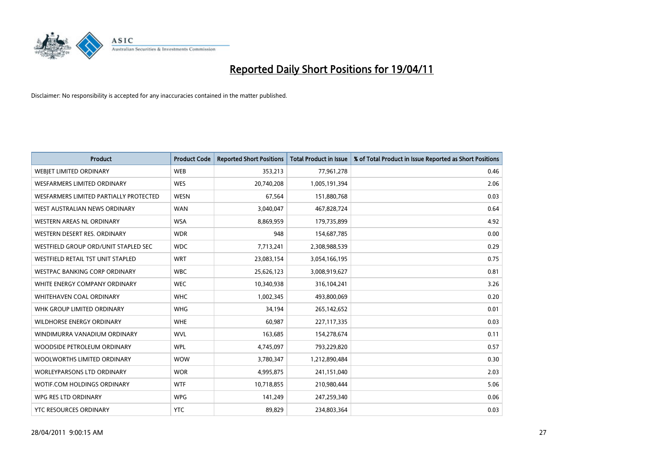

| <b>Product</b>                           | <b>Product Code</b> | <b>Reported Short Positions</b> | <b>Total Product in Issue</b> | % of Total Product in Issue Reported as Short Positions |
|------------------------------------------|---------------------|---------------------------------|-------------------------------|---------------------------------------------------------|
| <b>WEBJET LIMITED ORDINARY</b>           | <b>WEB</b>          | 353,213                         | 77,961,278                    | 0.46                                                    |
| <b>WESFARMERS LIMITED ORDINARY</b>       | <b>WES</b>          | 20,740,208                      | 1,005,191,394                 | 2.06                                                    |
| WESFARMERS LIMITED PARTIALLY PROTECTED   | <b>WESN</b>         | 67.564                          | 151,880,768                   | 0.03                                                    |
| WEST AUSTRALIAN NEWS ORDINARY            | <b>WAN</b>          | 3,040,047                       | 467,828,724                   | 0.64                                                    |
| <b>WESTERN AREAS NL ORDINARY</b>         | <b>WSA</b>          | 8,869,959                       | 179,735,899                   | 4.92                                                    |
| WESTERN DESERT RES. ORDINARY             | <b>WDR</b>          | 948                             | 154,687,785                   | 0.00                                                    |
| WESTFIELD GROUP ORD/UNIT STAPLED SEC     | <b>WDC</b>          | 7,713,241                       | 2,308,988,539                 | 0.29                                                    |
| <b>WESTFIELD RETAIL TST UNIT STAPLED</b> | <b>WRT</b>          | 23,083,154                      | 3,054,166,195                 | 0.75                                                    |
| <b>WESTPAC BANKING CORP ORDINARY</b>     | <b>WBC</b>          | 25,626,123                      | 3,008,919,627                 | 0.81                                                    |
| WHITE ENERGY COMPANY ORDINARY            | <b>WEC</b>          | 10,340,938                      | 316,104,241                   | 3.26                                                    |
| WHITEHAVEN COAL ORDINARY                 | <b>WHC</b>          | 1,002,345                       | 493,800,069                   | 0.20                                                    |
| WHK GROUP LIMITED ORDINARY               | <b>WHG</b>          | 34,194                          | 265,142,652                   | 0.01                                                    |
| <b>WILDHORSE ENERGY ORDINARY</b>         | <b>WHE</b>          | 60,987                          | 227,117,335                   | 0.03                                                    |
| WINDIMURRA VANADIUM ORDINARY             | <b>WVL</b>          | 163,685                         | 154,278,674                   | 0.11                                                    |
| WOODSIDE PETROLEUM ORDINARY              | <b>WPL</b>          | 4,745,097                       | 793,229,820                   | 0.57                                                    |
| WOOLWORTHS LIMITED ORDINARY              | <b>WOW</b>          | 3,780,347                       | 1,212,890,484                 | 0.30                                                    |
| <b>WORLEYPARSONS LTD ORDINARY</b>        | <b>WOR</b>          | 4,995,875                       | 241,151,040                   | 2.03                                                    |
| WOTIF.COM HOLDINGS ORDINARY              | <b>WTF</b>          | 10,718,855                      | 210,980,444                   | 5.06                                                    |
| WPG RES LTD ORDINARY                     | <b>WPG</b>          | 141,249                         | 247,259,340                   | 0.06                                                    |
| YTC RESOURCES ORDINARY                   | <b>YTC</b>          | 89,829                          | 234,803,364                   | 0.03                                                    |